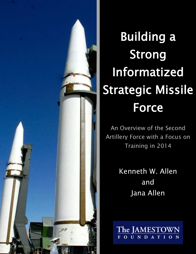

# Building a Strong Informatized Strategic Missile **Force**

An Overview of the Second Artillery Force with a Focus on Training in 2014

> Kenneth W. Allen and Jana Allen

The JAMESTOW UNDATION F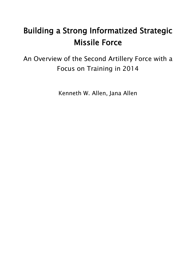# Building a Strong Informatized Strategic Missile Force

An Overview of the Second Artillery Force with a Focus on Training in 2014

Kenneth W. Allen, Jana Allen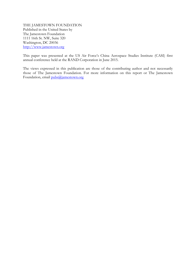THE JAMESTOWN FOUNDATION Published in the United States by The Jamestown Foundation 1111 16th St. NW, Suite 320 Washington, DC 20036 [http://www.jamestown.org](http://www.jamestown.org/)

This paper was presented at the US Air Force's China Aerospace Studies Institute (CASI) first annual conference held at the RAND Corporation in June 2015.

The views expressed in this publication are those of the contributing author and not necessarily those of The Jamestown Foundation. For more information on this report or The Jamestown Foundation, email [pubs@jamestown.org](mailto:pubs@jamestown.org)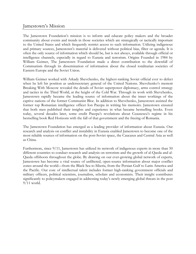# Jamestown's Mission

The Jamestown Foundation's mission is to inform and educate policy makers and the broader community about events and trends in those societies which are strategically or tactically important to the United States and which frequently restrict access to such information. Utilizing indigenous and primary sources, Jamestown's material is delivered without political bias, filter or agenda. It is often the only source of information which should be, but is not always, available through official or intelligence channels, especially in regard to Eurasia and terrorism. Origins Founded in 1984 by William Geimer, The Jamestown Foundation made a direct contribution to the downfall of Communism through its dissemination of information about the closed totalitarian societies of Eastern Europe and the Soviet Union.

William Geimer worked with Arkady Shevchenko, the highest-ranking Soviet official ever to defect when he left his position as undersecretary general of the United Nations. Shevchenko's memoir Breaking With Moscow revealed the details of Soviet superpower diplomacy, arms control strategy and tactics in the Third World, at the height of the Cold War. Through its work with Shevchenko, Jamestown rapidly became the leading source of information about the inner workings of the captive nations of the former Communist Bloc. In addition to Shevchenko, Jamestown assisted the former top Romanian intelligence officer Ion Pacepa in writing his memoirs. Jamestown ensured that both men published their insights and experience in what became bestselling books. Even today, several decades later, some credit Pacepa's revelations about Ceausescu's regime in his bestselling book Red Horizons with the fall of that government and the freeing of Romania.

The Jamestown Foundation has emerged as a leading provider of information about Eurasia. Our research and analysis on conflict and instability in Eurasia enabled Jamestown to become one of the most reliable sources of information on the post-Soviet space, the Caucasus and Central Asia as well as China.

Furthermore, since 9/11, Jamestown has utilized its network of indigenous experts in more than 50 different countries to conduct research and analysis on terrorism and the growth of al-Qaeda and al-Qaeda offshoots throughout the globe. By drawing on our ever-growing global network of experts, Jamestown has become a vital source of unfiltered, open-source information about major conflict zones around the world—from the Black Sea to Siberia, from the Persian Gulf to Latin America and the Pacific. Our core of intellectual talent includes former high-ranking government officials and military officers, political scientists, journalists, scholars and economists. Their insight contributes significantly to policymakers engaged in addressing today's newly emerging global threats in the post 9/11 world.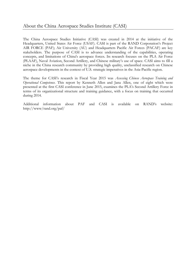The China Aerospace Studies Initiative (CASI) was created in 2014 at the initiative of the Headquarters, United States Air Force (USAF). CASI is part of the RAND Corporation's Project AIR FORCE (PAF); Air University (AU) and Headquarters Pacific Air Forces (PACAF) are key stakeholders. The purpose of CASI is to advance understanding of the capabilities, operating concepts, and limitations of China's aerospace forces. Its research focuses on the PLA Air Force (PLAAF), Naval Aviation, Second Artillery, and Chinese military's use of space. CASI aims to fill a niche in the China research community by providing high quality, unclassified research on Chinese aerospace developments in the context of U.S. strategic imperatives in the Asia-Pacific region.

The theme for CASI's research in Fiscal Year 2015 was *Assessing Chinese Aerospace Training and Operational Competence*. This report by Kenneth Allen and Jana Allen, one of eight which were presented at the first CASI conference in June 2015, examines the PLA's Second Artillery Force in terms of its organizational structure and training guidance, with a focus on training that occurred during 2014.

Additional information about PAF and CASI is available on RAND's website: http://www/rand.org/paf/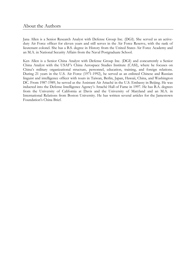Jana Allen is a Senior Research Analyst with Defense Group Inc. (DGI). She served as an activeduty Air Force officer for eleven years and still serves in the Air Force Reserve, with the rank of lieutenant colonel. She has a B.S. degree in History from the United States Air Force Academy and an M.A. in National Security Affairs from the Naval Postgraduate School.

Ken Allen is a Senior China Analyst with Defense Group Inc. (DGI) and concurrently a Senior China Analyst with the USAF's China Aerospace Studies Institute (CASI), where he focuses on China's military organizational structure, personnel, education, training, and foreign relations. During 21 years in the U.S. Air Force (1971-1992), he served as an enlisted Chinese and Russian linguist and intelligence officer with tours in Taiwan, Berlin, Japan, Hawaii, China, and Washington DC. From 1987-1989, he served as the Assistant Air Attaché in the U.S. Embassy in Beijing. He was inducted into the Defense Intelligence Agency's Attaché Hall of Fame in 1997. He has B.A. degrees from the University of California at Davis and the University of Maryland and an M.A. in International Relations from Boston University. He has written several articles for the Jamestown Foundation's China Brief.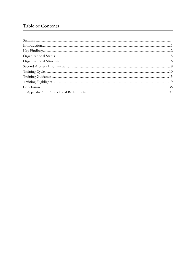# Table of Contents

| $Introduction                         1$ |  |
|------------------------------------------|--|
|                                          |  |
|                                          |  |
|                                          |  |
|                                          |  |
|                                          |  |
|                                          |  |
|                                          |  |
|                                          |  |
|                                          |  |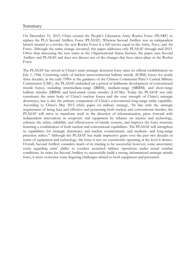## <span id="page-7-0"></span>Summary

On December 31, 2015, China created the People's Liberation Army Rocket Force (PLARF) to replace the PLA Second Artillery Force (PLASAF). Whereas Second Artillery was an independent branch treated as a service, the new Rocket Force is a full service equal to the Army, Navy, and Air Force. Although the name change occurred, this paper addresses only PLASAF through mid-2015. Other than discussing the new name in the Organizational Status Section, the paper uses Second Artillery and PLASAF and does not discuss any of the changes that have taken place as the Rocket Force.

The PLASAF has served as China's main strategic deterrent force since its official establishment on July 1, 1966. Consisting solely of nuclear intercontinental ballistic missile (ICBM) forces for nearly three decades, in the early 1990s at the guidance of the Chinese Communist Party's Central Military Commission (CMC), the PLASAF embarked on a period of deliberate development of conventional missile forces, including intermediate-range (IRBM), medium-range (MRBM), and short-range ballistic missiles (SRBM) and land-attack cruise missiles (LACMs). Today the PLASAF not only constitutes the main body of China's nuclear forces and the core strength of China's strategic deterrence, but is also the primary component of China's conventional long-range strike capability. According to China's May 2015 white paper on military strategy, "In line with the strategic requirement of being lean and effective and possessing both nuclear and conventional missiles, the PLASAF will strive to transform itself in the direction of informatization, press forward with independent innovations in weaponry and equipment by reliance on science and technology, enhance the safety, reliability and effectiveness of missile systems, and improve the force structure featuring a combination of both nuclear and conventional capabilities. The PLASAF will strengthen its capabilities for strategic deterrence and nuclear counterattack, and medium- and long-range precision strikes." Although the PLASAF has made impressive gains over the past two decades in terms of equipment and technology, the force is not yet consistently operating at the level it desires. Overall, Second Artillery considers much of its training to be successful; however, some uncertainty exists regarding units' ability to conduct sustained military operations under actual combat conditions. In order for Second Artillery to successfully build a strong, informatized strategic missile force, it must overcome some lingering challenges related to both equipment and personnel.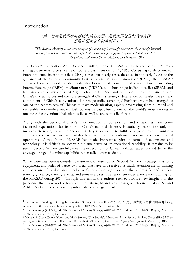$\overline{a}$ 

### <span id="page-8-0"></span>*"*第二炮兵是我国战略威慑的核心力量,是我大国地位的战略支撑, 是维护国家安全的重要基石*."*

*"The Second Artillery is the core strength of our country's strategic deterrence, the strategic bulwark for our great power status, and an important cornerstone for safeguarding our national security." Xi Jinping, addressing Second Artillery in December 2012<sup>1</sup>*

The People's Liberation Army Second Artillery Force (PLASAF) has served as China's main strategic deterrent force since its official establishment on July 1, 1966. Consisting solely of nuclear intercontinental ballistic missile (ICBM) forces for nearly three decades, in the early 1990s at the guidance of the Chinese Communist Party's Central Military Commission (CMC), the PLASAF embarked on a period of deliberate development of conventional missile forces, including intermediate-range (IRBM), medium-range (MRBM), and short-range ballistic missiles (SRBM) and land-attack cruise missiles (LACMs). Today the PLASAF not only constitutes the main body of China's nuclear forces and the core strength of China's strategic deterrence, but is also the primary component of China's conventional long-range strike capability.<sup>2</sup> Furthermore, it has emerged as one of the centerpieces of Chinese military modernization, rapidly progressing from a limited and vulnerable, non-mobile nuclear ballistic missile capability to one of the world's most impressive nuclear and conventional ballistic missile, as well as cruise missile, forces. 3

Along with the Second Artillery's transformation in composition and capabilities have come increased expectations for its role in China's national defense. Historically responsible only for nuclear deterrence, today the Second Artillery is expected to fulfill a range of roles spanning a credible second-strike nuclear capability to carrying out conventional deterrence and conventional operations. <sup>4</sup> Although the PLASAF has made impressive gains in terms of equipment and technology, it is difficult to ascertain the true status of its operational capability. It remains to be seen if Second Artillery can fully meet the expectations of China's political leadership and deliver the envisaged range of combat capabilities when called upon to do so.

While there has been a considerable amount of research on Second Artillery's strategy, missions, equipment, and order of battle, two areas that have not received as much attention are its training and personnel. Drawing on authoritative Chinese-language resources that address Second Artillery training guidance, training events, and joint exercises, this report provides a review of training for the PLASAF during 2014. Through this effort, the authors seek to provide new insight into the personnel that make up the force and their strengths and weaknesses, which directly affect Second Artillery's effort to build a strong informatized strategic missile force.

<sup>&</sup>lt;sup>1</sup> "Xi Jinping: Building a Strong Informatized Strategic Missile Force" (习近平: 建设强大的信息化战略导弹部队), accessed at http://news.xinhuanet.com/politics/2012-12/05/c\_113922221.htm.

<sup>&</sup>lt;sup>2</sup> Shou Xiaosong (寿晓松), ed., The Science of Military Strategy (战略学), 2013 Edition (2013年版), Beijing: Academy of Military Science Press, December 2013.

<sup>3</sup> Michael S. Chase, Daniel Yoon, and Mark Stokes, "The People's Liberation Army Second Artillery Force (PLASAF) as an Organization" in Kevin Pollpeter and Kenneth W. Allen, eds., *The PLA as Organization Reference Volume v2.0*, 2015.

<sup>&</sup>lt;sup>4</sup> Shou Xiaosong (寿晓松), ed., The Science of Military Strategy (战略学), 2013 Edition (2013年版), Beijing: Academy of Military Science Press, December 2013.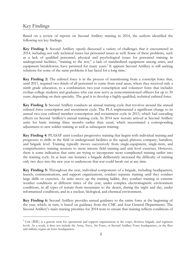# <span id="page-9-0"></span>Key Findings

 $\overline{a}$ 

Based on a review of reports on Second Artillery training in 2014, the authors identified the following ten key findings.

**Key Finding 1:** Second Artillery openly discussed a variety of challenges that it encountered in 2014, including not only technical issues but personnel issues as well. Some of these problems, such as a lack of qualified personnel, physical and psychological issues for personnel training in underground facilities, "training to the test," a lack of standardized equipment among units, and equipment breakdowns, have persisted for many years.<sup>5</sup> It appears Second Artillery is still seeking solutions for some of the same problems it has faced for a long time.

**Key Finding 2:** The enlisted force is in the process of transitioning from a conscript force that, until 2011, required two-thirds of all personnel to come from rural areas, where they received only a ninth grade education, to a combination two-year conscription and volunteer force that includes civilian college students and graduates who can now serve as noncommissioned officers for up to 30 years, depending on their specialty. The goal is to develop a highly-qualified, technical enlisted force.

**Key Finding 3:** Second Artillery conducts an annual training cycle that revolves around the annual enlisted force conscription and recruitment cycle. The PLA implemented a significant change to its annual two-year enlisted member conscription and recruitment cycle in 2013, which had cascading effects on Second Artillery's annual training cycle. In 2014 new recruits arrived at Second Artillery units for basic training three months earlier than usual, which necessitated a corresponding adjustment to new soldier training as well as subsequent training.

**Key Finding 4:** PLASAF units conduct progressive training that begins with individual training and progresses to drills in the field or underground facilities at the squad, platoon, company, battalion, and brigade level. Training typically moves successively from single-equipment, single-item, and comprehensive training sessions to more intense field training and unit level exercises. However, there is some indication that units are trying to incorporate more complicated training earlier into the training cycle. In at least one instance a brigade deliberately increased the difficulty of training only two days into the new year to underscore that war could break out at any time.

**Key Finding 5:** Throughout the year, individual components of a brigade, including headquarters, launch, communications, and support organizations, conduct separate training until they conduct large drills or exercises. As units move up the training ladder, they conduct training in extreme weather conditions at different times of the year, under complex electromagnetic environment conditions, in all types of terrain from mountains to the desert, during the night and day, under informatized conditions, and in a nuclear, biological, and chemical environment.

**Key Finding 6:** Second Artillery provides annual guidance to the entire force at the beginning of the year, which, in turn, is based on guidance from the CMC and four General Departments. The Second Artillery's main training priorities for 2014 were to ensure that training reflects conditions of

<sup>5</sup> Unit (部队) is a generic term for operational and support organizations at the corps, division, brigade, and regiment levels. As a result, it does not include the Army, Navy, Air Force, or Second Artillery Force headquarters, or the fleet and military region air force headquarters.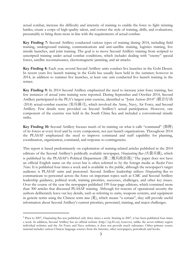actual combat, increase the difficulty and intensity of training to enable the force to fight winning battles, create a corps of high-quality talent, and correct the style of training, drills, and evaluations, presumably to bring them more in line with the requirements of actual combat.

**Key Finding 7:** Second Artillery conducted various types of training during 2014, including field training, underground training, communications and anti-satellite training, logistics training, live missile launches, and joint training. The goal is to move Second Artillery training from scripted to unscripted training under actual combat conditions, which includes dealing with "enemy" special forces, satellite reconnaissance, electromagnetic jamming, and air attacks.

**Key Finding 8:** Each year, several Second Artillery units conduct live launches in the Gobi Desert. In recent years live launch training in the Gobi has usually been held in the summer; however in 2014, in addition to summer live launches, at least one unit conducted live launch training in the winter.

**Key Finding 9:** In 2014 Second Artillery emphasized the need to increase joint force training, but few instances of actual joint training were reported. During September and October 2014, Second Artillery participated in the PLA's largest joint exercise, identified as "Joint Action-2014" (联合行动 -2014) actual-combat exercise (实兵演习), which involved the Army, Navy, Air Force, and Second Artillery. Few details were provided on Second Artillery's actual participation. However, one component of the exercise was held in the South China Sea and included a conventional missile strike.

**Key Finding 10:** Second Artillery focuses much of its training on what it calls "command" (指挥) of its forces at every level and by every component, not just launch organizations. Throughout 2014 the PLASAF emphasized the need to improve command and staff capability for planning, coordination, organization, command, and response to contingencies.

This report is based predominately on exploitation of training-related articles published in the 2014 editions of the Second Artillery's publically available newspaper, *Huojianbing Bao (*火箭兵报*)*, which is published by the PLASAF's Political Department (第二炮兵政治部).<sup>6</sup> The paper does not have an official English name on the cover but is often referred to by the foreign media as *Rocket Force News*. It is published four times a week and is available to the public, although the newspaper's target audience is PLASAF units and personnel. Second Artillery leadership utilizes *Huojianbing Bao* to communicate to personnel across the force on important topics such as CMC and Second Artillery leadership guidance, political work, training priorities, successes, challenges, and other key issues. Over the course of the year the newspaper published 199 four-page editions, which contained more than 300 articles that discussed PLASAF training. Although for reasons of operational security the authors deliberately leave out key details, such as referring to units, weapons systems, and equipment in generic terms using the Chinese term *mou* (某), which means "a certain", they still provide useful information about Second Artillery's current priorities, personnel, training, and major challenges.

<sup>6</sup> Prior to 2007, *Huojianbing Bao* was published only three times a week. Starting in 2007, it has been published four times a week. In addition, Second Artillery has an official website (http://ep.81.cn); however, unlike the seven military region individual websites and the Air Force and Navy websites, it does not provide much substance. Other primary source material includes various Chinese language sources from the Internet, other newspapers, periodicals and books.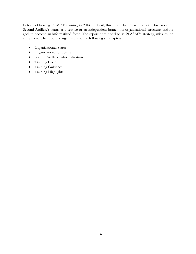Before addressing PLASAF training in 2014 in detail, this report begins with a brief discussion of Second Artillery's status as a service or an independent branch, its organizational structure, and its goal to become an informatized force. The report does not discuss PLASAF's strategy, missiles, or equipment. The report is organized into the following six chapters:

- Organizational Status
- Organizational Structure
- Second Artillery Informatization
- Training Cycle
- Training Guidance
- Training Highlights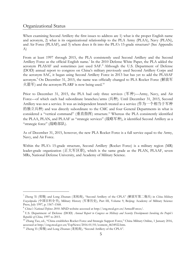# <span id="page-12-0"></span>Organizational Status

 $\overline{a}$ 

When examining Second Artillery the first issues to address are 1) what is the proper English name and acronym, 2) what is its organizational relationship to the PLA Army (PLAA), Navy (PLAN), and Air Force (PLAAF), and 3) where does it fit into the PLA's 15-grade structure? (See Appendix A)

From at least 1997 through 2015, the PLA consistently used Second Artillery and the Second Artillery Force as the official English name.<sup>7</sup> In the 2010 Defense White Paper, the PLA added the acronym PLASAF and sometimes just used SAF.<sup>8</sup> Although the U.S. Department of Defense (DOD) annual report to congress on China's military previously used Second Artillery Corps and the acronym SAC, it began using Second Artillery Force in 2013 but has yet to add the PLASAF acronym.<sup>9</sup> On December 31, 2015, the name was officially changed to PLA Rocket Force (解放军  $\mathcal{R}$ 箭军) and the acronym PLARF is now being used.<sup>10</sup>

Prior to December 31, 2015, the PLA had only three services (军种)—Army, Navy, and Air Force—of which each had subordinate branches/arms (兵种). Until December 31, 2015, Second Artillery was not a service. It was an independent branch treated as a service (作为一个相当于军种 的独立兵种) and was directly subordinate to the CMC and four General Departments in what is considered a "vertical command" (垂直指挥) structure.<sup>11</sup> Whereas the PLA consistently identified the PLAA, PLAN, and PLAAF as "strategic services" (战略军种), it identified Second Artillery as a "strategic force" (战略部队).

As of December 31, 2015, however, the new PLA Rocket Force is a full service equal to the Army, Navy, and Air Force.

Within the PLA's 15-grade structure, Second Artillery (Rocket Force) is a military region (MR) leader-grade organization (正大军区职), which is the same grade as the PLAN, PLAAF, seven MRs, National Defense University, and Academy of Military Science.

<sup>7</sup> Zheng Ti (郑惕) and Long Zhunan (龙祝南), "Second Artillery of the CPLA" (解放军第二炮兵) in *China Military Encyclopedia* (中国百科全书), Military History (军事历史), Part III, Volume 9, Beijing: Academy of Military Science Press, July 1997, p. 1567–1568.

<sup>8</sup> *China's National Defense 2010*. MND website accessed at http://eng.mod.gov.cn/ArmedForces/.

<sup>9</sup> U.S. Department of Defense (DOD) *Annual Report to Congress on Military and Security Developments Involving the People's Republic of China,* 1997 to 2015.

 $^{10}$  Zhang Tao, ed., "China establishes Rocket Force and Strategic Support Force," China Military Online, 1 January 2016, accessed at http://eng.mod.gov.cn/TopNews/2016-01/01/content\_4634922.htm.

<sup>&</sup>lt;sup>11</sup> Zheng Ti (郑惕) and Long Zhunan (龙祝南), "Second Artillery of the CPLA".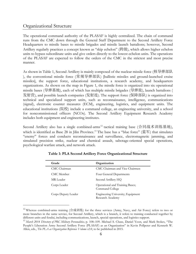#### <span id="page-13-0"></span>Organizational Structure

 $\overline{a}$ 

The operational command authority of the PLASAF is highly centralized. The chain of command runs from the CMC down through the General Staff Department to the Second Artillery Force Headquarters to missile bases to missile brigades and missile launch battalions; however, Second Artillery regularly practices a concept known as "skip echelon" (跨级), which allows higher echelon units to bypass subordinate units and give orders directly to the lowest echelon units. The operations of the PLASAF are expected to follow the orders of the CMC in the strictest and most precise manner.

As shown in Table 1, Second Artillery is mainly composed of the nuclear missile force (核导弹部队 ), the conventional missile force (常规导弹部队) [ballistic missiles and ground-launched cruise missiles], the support force, educational institutions, a research academy, and headquarters organizations. As shown on the map in Figure 1, the missile force is organized into six operational missile bases (导弹基地), each of which has multiple missile brigades (导弹旅), launch battalions ( 发射营), and possible launch companies (发射连). The support force (保障部队) is organized into technical and specialized support units, such as reconnaissance, intelligence, communications (signal), electronic counter measures (ECM), engineering, logistics, and equipment units. The educational institutions (院校) include a command college, an engineering university, and a school for noncommissioned officers (NCOs). The Second Artillery Equipment Research Academy includes both equipment and engineering institutes.

Second Artillery also has a single combined-arms<sup>12</sup> tactical training base (合同战术训练基地), which is identified as Base 28 in Jilin Province.<sup>13</sup> The base has a "blue force" (蓝军) that simulates "enemy" forces and conducts reconnaissance and surveillance, electromagnetic jamming, and simulated precision strike, nuclear and chemical assault, sabotage-oriented special operations, psychological warfare attack, and network attack.

| Grade               | Organization                                          |
|---------------------|-------------------------------------------------------|
| CMC Chairman        | CMC Chairman and Vice Chairmen                        |
| CMC Member          | Four General Departments                              |
| MR Leader           | Second Artillery HQ                                   |
| Corps Leader        | Operational and Training Bases;<br>Command College    |
| Corps Deputy Leader | Engineering University; Equipment<br>Research Academy |

**Table 1: PLA Second Artillery Force Organizational Structure**

<sup>&</sup>lt;sup>12</sup> Whereas combined-arms training (合成训练) for the three services (Army, Navy, and Air Force) refers to two or more branches in the same service, for Second Artillery, which is a branch, it refers to training conducted together by different units and fendui, including communications, launch, special operations, and logistics support.

<sup>13</sup> *March 2014 Directory of PRC Military Personalities,* p. 108–109. Michael S. Chase, Daniel Yoon, and Mark Stokes, "The People's Liberation Army Second Artillery Force (PLASAF) as an Organization" in Kevin Pollpeter and Kenneth W. Allen, eds., *The PLA as Organization Reference Volume v2.0*, to be published in 2015.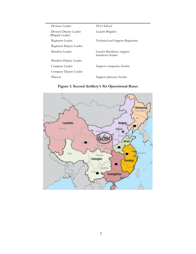| Division Leader                            | NCO School                                      |
|--------------------------------------------|-------------------------------------------------|
| Division Deputy Leader<br>(Brigade Leader) | Launch Brigades                                 |
| Regiment Leader                            | Technical and Support Regiments                 |
| Regiment Deputy Leader                     |                                                 |
| Battalion Leader                           | Launch Battalions; support<br>battalions/fendui |
| <b>Battalion Deputy Leader</b>             |                                                 |
| Company Leader                             | Support companies/fendui                        |
| Company Deputy Leader                      |                                                 |
| Platoon                                    | Support platoons/fendui                         |



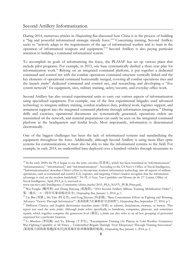# <span id="page-15-0"></span>Second Artillery Informatization

 $\overline{a}$ 

During 2014, numerous articles in *Huojianbing Bao* discussed how China is in the process of building a "big and powerful informatized strategic missile force."<sup>14</sup> Concerning training, Second Artillery seeks to "actively adapt to the requirements of the age of informatized warfare and to train in the operation of informatized weapons and equipment." <sup>15</sup> Second Artillery is also paying particular attention to building a command informatized system.

To accomplish its goals of informatizing the force, the PLASAF has set up various plans that include pilot programs. For example, in 2013, one base systematically drafted a three-year plan for informatization work.<sup>16</sup> Relying on an integrated command platform, it put together a dedicated command and control net with the combat operations command structure vertically linked and the key elements of operational command horizontally merged, covering all combat operations sites and the launch *fendui<sup>17</sup>* dedicated command and control net, and researching and developing a "five system network" for equipment, sites, military training, safety/security, and everyday office work.

Second Artillery has also created experimental units to carry out various aspects of informatization using specialized equipment. For example, one of the first experimental brigades used advanced technology to integrate military training, combat-readiness duty, political work, logistics support, and armament support into the integrated command platform through information integration.<sup>18</sup> During drills and exercises, operational documents are systematically generated, operations orders are transmitted on the network, and material preparations can easily be seen on the integrated command platform at the headquarters and fendui levels. Most importantly, information is disseminated electronically.

One of the biggest challenges has been the lack of informatized systems and standardizing the equipment throughout the force. Additionally, although Second Artillery is using more fiber optic systems for communications, it must also be able to take the informatized systems to the field. For example, in early 2014, an unidentified base deployed over a hundred vehicles through mountains to

<sup>&</sup>lt;sup>14</sup> In the early 2000s the PLA began to use the term *xinxihua* (信息化), which has been translated as "informationized," "informatization," "informatized," and "informationization". According to the US Navy's Office of Naval Intelligence, "'Informationization' describes China's effort to incorporate modern information technology into all aspects of military operations, such as command and control (C2), logistics, and targeting. China's leaders recognize that the information advantage is vital on the modern battlefield." *The PLA Navy: New Capabilities and Missions for the 21st Century*, Office of Naval Intelligence, April 2015, p. 6, accessed at

www.oni.navy.mil/Intelligence\_Community/china\_media/2015\_PLA\_NAVY\_PUB\_Print.pdf**.** 

<sup>&</sup>lt;sup>15</sup> Wei Fenghe (魏风和) and Zhang Haiyang (张海阳), "2014 Second Artillery Military Training Mobilization Order" ( 第二炮兵二 0 一四年军事训练动员令), *Huojianbing Bao*, January 1, 2014, p. 1.

<sup>&</sup>lt;sup>16</sup> Liu Bin (刘斌), Shi Yijie (时义杰), and Feng Jinyuan (冯金源), "Base Concentrates Effort on Fighting and Winning, Advances 'Victory Through Information'" (某基地聚力打赢推进"信息制胜"), *Huojianbing Bao*, September 27, 2014, p 1.

<sup>17</sup> Different Chinese and English dictionaries translate *fendui* (分队) as subunit, detachment, element, or battery. This report just used the term *fendui*. Although *fendui* refers specifically to battalions, companies, platoons, and sometimes squads, which together comprise the grassroots level (基层), a *fendui* can also refer to an ad hoc grouping of personnel organized for a particular function.

<sup>&</sup>lt;sup>18</sup> Li Minzhen (李民振) and Yu Xihong (于夕红), "Encampment Training On Plateau in Cold Weather Guarantees War-Fighting Capability at All Times -- Unidentified Brigade Daringly Trod 'Deepwater' Through Training Innovation" (某旅接力训练新勇趟[深水区]高原塞区驻训确保随时能战), *Huojianbing Bao*, January 1, 2014, p. 2.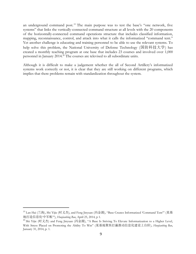an underground command post.<sup>19</sup> The main purpose was to test the base's "one network, five systems" that links the vertically-connected command structure at all levels with the 20 components of the horizontally-connected command operations structure that includes classified information, mapping, reconnaissance, control, and attack into what it calls the informatized "command tent." Yet another challenge is educating and training personnel to be able to use the relevant systems. To help solve this problem, the National University of Defense Technology (国防科技大学) has created a monthly teaching program at one base that includes 23 courses and involved over 1,000 personnel in January 2014.<sup>20</sup> The courses are televised to all subordinate units.

Although it is difficult to make a judgement whether the all of Second Artillery's informatized systems work correctly or not, it is clear that they are still working on different programs, which implies that there problems remain with standardization throughout the system.

<sup>19</sup> Lan Hai (兰海), Shi Yijie (时义杰), and Feng Jinyuan (冯金源), "Base Creates Informatized 'Command Tent'" (某基 地打造信息化'中军帐'"), *Huojianbing Bao*, April 25, 2014, p 1.

<sup>&</sup>lt;sup>20</sup> Shi Yijie (时义杰) and Feng Jinyuan (冯金源), "A Base Is Striving To Elevate Informatization to a Higher Level, With Stress Placed on Promoting the Ability To Win" (某基地聚焦打赢推动信息化建设上台阶), *Huojianbing Bao*, January 31, 2014, p. 1.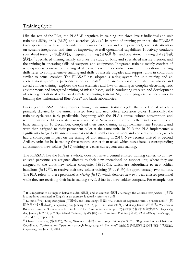# <span id="page-17-0"></span>Training Cycle

 $\overline{a}$ 

Like the rest of the PLA, the PLASAF organizes its training into three levels: individual and unit training (训练), drills (演练) and exercises (演习).<sup>21</sup> In terms of training priorities, the PLASAF takes specialized skills as the foundation, focuses on officers and core personnel, centers its attention on systems integration and aims at improving overall operational capabilities. It actively conducts specialized training (专业训练), integrated training (合成训练), and operational training drills (作战 演练).<sup>22</sup> Specialized training mainly involves the study of basic and specialized missile theories, and the training in operating skills of weapons and equipment. Integrated training mainly consists of whole-process coordinated training of all elements within a combat formation. Operational training drills refer to comprehensive training and drills by missile brigades and support units in conditions similar to actual combat. The PLASAF has adopted a rating system for unit training and an accreditation system for personnel at critical posts.<sup>23</sup> It enhances on-base, simulated, web-based and actual-combat training, explores the characteristics and laws of training in complex electromagnetic environments and integrated training of missile bases, and is conducting research and development of a new generation of web-based simulated training systems. Significant progress has been made in building the "Informatized Blue Force" and battle laboratories.

Every year, PLASAF units progress through an annual training cycle, the schedule of which is primarily dictated by the annual enlisted force and new officer accession cycles. Historically, the training cycle was fairly predictable, beginning with the PLA's annual winter conscription and recruitment cycle. New enlistees were screened in November, reported to their individual units for basic training on 10 December, completed their basic training in approximately late February, and were then assigned to their permanent billet at the same unit. In 2013 the PLA implemented a significant change to its annual two-year enlisted member recruitment and conscription cycle, which had a consequent impact on the timing of unit training in 2014. New recruits arrived at Second Artillery units for basic training three months earlier than usual, which necessitated a corresponding adjustment to new soldier (新兵) training as well as subsequent unit training.

The PLASAF, like the PLA as a whole, does not have a central enlisted training center, so all new enlisted personnel are assigned directly to their new operational or support unit, where they are assigned to the unit's new soldier companies (新兵连), which are subordinate to new soldier battalions (新兵营), to receive their new soldier training (新兵训练) for approximately two months. The PLA refers to these personnel as *xinbing* (新兵), which denotes new two-year enlisted personnel while they are receiving their basic training  $(\lambda \text{fill} \#)$  in a new soldier company. For example, one

<sup>21</sup> It is important to distinguish between a drill (演练) and an exercise (演习). Although the Chinese term *yanlian* (演练) is sometimes translated in English as an exercise, it actually refers to a drill.

<sup>&</sup>lt;sup>22</sup> Lu Jun (卢俊), Ding Rongzhen (丁荣桢), and Tian Liang (田亮), "All-Hands of Regiment Firm Up 'Basic Skills'" (某 团全员夯实"基本功"), *Huojianbing Bao*, January 7, 2014, p. 1. Liu Gang (刘刚) and Wang Jianwu (汪建武), "A Certain Brigade Creates an 'Omni-Capable Elite Force' for Communication Support "(某旅锻造保通"全能尖兵"), *Huojianbing Bao*, January 8, 2014, p. 2. Specialized Training (专业训练) and Combined Training (合训), *PLA Military Terminology*, p. 305 and 312, respectively.

<sup>&</sup>lt;sup>23</sup> Chang Juancheng (常娟成), Wang Xiaolin (王小林), and Song Haijun (宋海军), "Regiment Forges Chains of Coordinated Confrontation Operations through Integrating All Elements" (某团全要素嵌打造协同对抗作战链条), *Huojianbing Bao*, June 11, 2014, p. 1.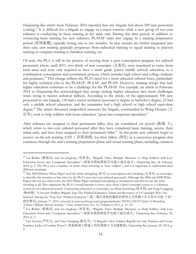*Huojianbing Bao* article from February 2014 reported that one brigade had about 500 new personnel  $(xinbing).<sup>24</sup>$  It is difficult for a brigade to engage in a major exercise while a new group of two-year enlistees is conducting its basic training at the same unit. During this time period, in addition to overseeing basic training for new enlistees, PLASAF units also engage in a training preparation period (训预备期), typically lasting one to two months. As new recruits are further integrated into their unit, unit training gradually progresses from individual training to squad training to platoon training to company training to battalion training, etc.

Of note, the PLA is still in the process of moving from a pure conscription program for enlisted personnel, where, until 2011, two-thirds of new conscripts (义务兵) were mandated to come from rural areas and were only required to have a ninth grade (junior middle school) education, to a combination conscription and recruitment process, which includes high school and college students and graduates.<sup>25</sup> This change reflects the PLA's need for a more educated enlisted force, particularly for highly technical jobs in the PLASAF, PLAAF, and PLAN. However, training troops that lack higher education continues to be a challenge for the PLASAF. For example, an article in February 2014 in *Huojianbing Bao* acknowledged that troops lacking higher education face more challenges when trying to master technical skillsets. According to the article, of the approximately 500 new personnel in one brigade, 136 had a senior technical (associate's) degree or bachelor's degree, 23 had only a middle school education, and the remainder had a high school or high school equivalent degree.<sup>26</sup> The article discussed unspecified measures the brigade, commanded by Wang Houjun ( $\pm$ 后军), took to help soldiers with lesser education "grow into competent specialists."

After enlistees are assigned to their permanent billet, they are considered *xin zhanshi* (新战 士), which refers to two-year enlisted personnel after they have completed basic training, receive their initial rank, and have been assigned to their permanent billet.<sup>27</sup> At this point new enlistees begin to receive on-the-job training (OJT / 在职训练) for their billets (岗位) in a successive program that continues through the unit's training preparation phase and actual training phase, including common

 $24$  Cai Ruibin (蔡瑞宾) and Liu Jinglong (刘景龙), "Brigade Takes Multiple Measures to Help Soldiers with Less Education Grow into Competent Specialists" (谋旅多措助推低学历战士成长成才), *Huojianbing Bao*, 26 February 2014, p. 2. The PLA uses a number of terms when referring to "new soldiers", and it is important to understand their different meanings.

<sup>&</sup>lt;sup>25</sup> The 2004 Defense White Paper used the terms zhengbing (征兵) as conscription and yiwubing (义务兵) as conscripts to describe the situation at that time for the PLA's new two-year enlisted personnel. Although the 2006 and 2008 White Papers did not use either term, the 2010 White Paper translated zhengbing as recruitment and did not use the term yiwubing at all. This represents the PLA's overall attempt to move away from a draft/conscript system to a volunteer

system for its enlisted personnel. Concerning references to conscripts, see Duan Kaisheng (段开尚) and Yang Yonggang (杨永刚), "A Second Artillery Brigade Taps The Political Education Talent and Resources of 9 Conscripts Who Are Selected Among the "Top Ten" Political Instructor" (第二炮兵某旅挖掘政治教育人才资源 9 名义务兵当选"十佳"

政治教员), January 17, 2015, accessed at www.weshequ.com/gangaotaishixun/201501/236747.html. Li Shanshan, "China's Military Service System," *China Armed Forces*, No. 12, Volume 4, 2011, p. 31–33.

 $26$  Cai Ruibin (蔡瑞宾) and Liu Jinglong (刘景龙), "Brigade Takes Multiple Measures to Help Soldiers with Less Education Grow into Competent Specialists" (谋旅多措助推低学历战士成长成才), *Huojianbing Bao*, February 26, 2014, p. 2.

<sup>&</sup>lt;sup>27</sup> Yan Zuoren (严作人) and Chen Xianping (陈先平), "A Brigade's New Soldiers Rapidly Get into Position and Create Seamless Links of Combat Power" (某旅新战士快速上岗实现战斗力无缝链接), *Huojianbing Bao*, January 29, 2014, p. 2.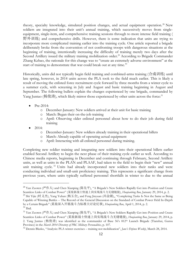theory, specialty knowledge, simulated position changes, and actual equipment operation.<sup>28</sup> New soldiers are integrated into their unit's annual training, which successively moves from singleequipment, single-item, and comprehensive training sessions through to more intense field training ( 野外训练) and comprehensive drills. However, there is some indication that units are trying to incorporate more complicated training earlier into the training cycle. One article reported a brigade deliberately broke from the convention of not confronting troops with dangerous situations at the beginning of training, intentionally increasing the difficulty of training merely two days after the Second Artillery issued the military training mobilization order.<sup>29</sup> According to Brigade Commander Zhang Kebao, the rationale for this change was to "create an extremely adverse environment" at the start of training to demonstrate that war could break out at any time.<sup>30</sup>

Historically, units did not typically begin field training and combined-arms training (合成训练) until late spring, however, in 2014 units across the PLA took to the field much earlier. This is likely a result of moving the enlisted force recruitment cycle forward by three months from a winter cycle to a summer cycle, with screening in July and August and basic training beginning in August and September. The following bullets explain the changes experienced by one brigade, commanded by Yang Juntao (杨俊涛), which likely mirror those experienced by other units across the force:<sup>31</sup>

- $\bullet$  Pre-2014:
	- o December-January: New soldiers arrived at their unit for basic training
	- o March: Began their on-the-job training
	- o April: Observing older enlisted personnel about how to do their job during field training
- 2014:

 $\overline{a}$ 

- o December-January: New soldiers already training in their operational billets
- o March: Already capable of operating actual equipment
- o April: Interacting with all enlisted personnel during training.

Completing new soldier training and integrating new soldiers into their operational billets earlier enabled Second Artillery to begin the next phase of their training cycle earlier as well. According to Chinese media reports, beginning in December and continuing through February, Second Artillery units, as well as units in the PLAN and PLAAF, had taken to the field to begin their "new" annual unit training cycle.<sup>32</sup> Units had already incorporated new soldiers into their ranks and were conducting individual and small-unit proficiency training. This represents a significant change from previous years, where units typically suffered personnel shortfalls in winter to due to the annual

<sup>&</sup>lt;sup>28</sup> Yan Zuoren (严作人) and Chen Xianping (陈先平), "A Brigade's New Soldiers Rapidly Get into Position and Create Seamless Links of Combat Power" (某旅新战士快速上岗实现战斗力无缝链接), *Huojianbing Bao*, January 29, 2014, p. 2.

<sup>&</sup>lt;sup>29</sup> Shi Yijie (时义杰), Yang Yuhan (杨玉含), and Feng Jinyuan (冯金源),, "Completing Tasks Is Not the Same as Being Capable of Winning Battles -- The Record of the General Discussion on the Standard of Combat Power Held In-Depth by a Certain Brigade" (某旅深入开展战斗力标准大讨论纪事), *Huojianbing Bao*, April 1, 2014, p. 2.  $^{30}$  Ibid.

<sup>&</sup>lt;sup>31</sup> Yan Zuoren (严作人) and Chen Xianping (陈先平), "A Brigade's New Soldiers Rapidly Get into Position and Create Seamless Links of Combat Power" (某旅新战士快速上岗实现战斗力无缝链接), *Huojianbing Bao*, January 29, 2014, p. 2. Yang Juntao (杨俊涛) was identified as the commander of Base 56's 812th Launch Brigade (Tianshui, Gansu Province) in the *March 2014 Directory of PRC Military Personalities*, p. 107.

<sup>32</sup> Dennis Blasko, "Analysis: PLA winter exercises – training not mobilization", *Jane's Defense Weekly*, March 28, 2014.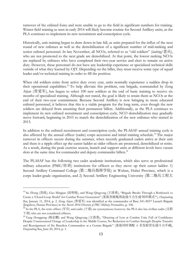turnover of the enlisted force and were unable to go to the field in significant numbers for training. Winter field training as seen in early 2014 will likely become routine for Second Artillery units, as the PLA continues to implement its new recruitment and conscription cycle.

Historically, unit training began to draw down in late fall, as units prepared for the influx of the next round of new enlistees as well as the demobilization of a significant number of mid-ranking and senior enlisted personnel. In late November, all NCOs, referred to as "old soldiers" (*laobing*/老兵), who are not promoted to the next grade are demobilized. At that point, the lowest ranking NCOs are replaced by enlistees who have completed their two-year service and elect to remain on active duty. However, these personnel do not have any leadership experience or specialized technical skills outside of what they learned by OJT. Depending on the billet, they must receive some type of squad leader and/or technical training in order to fill the position.

When old soldiers retire from active duty every year, units normally experience a sudden drop in their operational capabilities.<sup>33</sup> To help alleviate this problem, one brigade, commanded by Zeng Aijun (曾爱军), has begun to select 100 new soldiers at the end of basic training to receive six months of specialized training. Although not stated, the goal is likely to retain them as NCOs at the end of their two-year commitment. Because Second Artillery is now bringing in more educated enlisted personnel, it believes that this is a viable program for the long term, even though the new soldiers are delayed from assuming their permanent billets. Additionally, as the PLA continues to implement its new enlisted recruitment and conscription cycle, NCO demobilization may gradually move forward, beginning in 2015 to match the demobilization of the new enlistees who started in 2013.

In addition to the enlisted recruitment and conscription cycle, the PLASAF annual training cycle is also affected by the annual officer (cadre) corps accession and initial training schedule.<sup>34</sup> The major turnover in officers occurs during the summer, when recently graduated cadets arrive at their unit and there is a ripple effect up the career ladder as older officers are promoted, demobilized or retire. As a result, during the peak exercise season, launch and support units at different levels have vacant slots at the same time for commander and deputy commander billets.<sup>35</sup>

The PLASAF has the following two cadet academic institutions, which also serve as professional military education (PME/培训) institutions for officers as they move up their career ladder: 1) Second Artillery Command College (第二炮兵指挥学院) in Wuhan, Hubei Province, which is a corps leader-grade organization, and 2) Second Artillery Engineering University (第二炮兵工程大

<sup>33</sup> Su Zheng (苏政), Gao Mingjun (高明俊), and Wang Qingyong (王清勇), "Brigade Breaks Through a Bottleneck to Create a 'Closed-Loop Model' for Combat Power Generation" (某旅突破瓶颈造战斗力生成'闭环模式'"), *Huojianbing Bao*, January 11, 2014, p. 2. Zeng Aijun (曾爱军) was identified as the commander of Base 54's 803rd Launch Brigade (Jingzhou, Hunan Province) in the *March 2014 Directory of PRC Military Personalities*, p. 106.

 $34$  In the PLA, the term officer (军官) and cadre (干部) are synonymous; however, the PLA also has civilian cadre (文职) 干部) who are not considered officers.

<sup>&</sup>lt;sup>35</sup> Yang Hongpeng (杨宏鹏) and Wang Qingyong (王清勇), "Drawing of Lots at Combat Unit; Full of Confidence Despite Unannounced Change of Leadership in the Middle Course; No Reduction in Combat Strength Despite Transfer and Reassignment of Six Battalion Commanders at a Certain Brigade" (某旅同时调配 6 名发射营长战斗力不减), *Huojianbing Bao*, June 20, 2014, p. 1.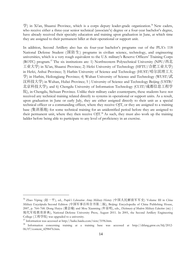学) in Xi'an, Shaanxi Province, which is a corps deputy leader-grade organization.<sup>36</sup> New cadets, who receive either a three-year senior technical (associate's) degree or a four-year bachelor's degree, have already received their specialty education and training upon graduation in June, at which time they are assigned to their permanent billet at their operational or support unit.

In addition, Second Artillery also has six four-year bachelor's programs out of the PLA's 118 National Defense Student (国防生) programs in civilian science, technology, and engineering universities, which is a very rough equivalent to the U.S. military's Reserve Officers' Training Corps (ROTC) program.<sup>37</sup> The six institutions are: 1) Northwestern Polytechnical University (NPU/西北 工业大学) in Xi'an, Shaanxi Province; 2) Hefei University of Technology (HFTU/合肥工业大学) in Hefei, Anhui Province; 3) Harbin University of Science and Technology (HUST/哈尔滨理工大 学) in Harbin, Heilongjiang Province; 4) Wuhan University of Science and Technology (WUST/武 汉科技大学) in Wuhan, Hubei Province; 5 ) University of Science and Technology Beijing (USTB/ 北京科技大学); and 6) Chengdu University of Information Technology (CUIT/成都信息工程学 院), in Chengdu, Sichuan Province. Unlike their military cadet counterparts, these students have not received any technical training related directly to systems in operational or support units. As a result, upon graduation in June or early July, they are either assigned directly to their unit as a special technical officer or a commanding officer, where they receive OJT, or they are assigned to a training base (集训基地) for some technical training for an unidentified period before they are assigned to their permanent unit, where they then receive OJT.<sup>38</sup> As such, they must also work up the training ladder before being able to participate to any level of proficiency in an exercise.

<sup>36</sup> Zhao Yiping (赵一平), ed., *People's Liberation Army Military History* (中国人民解放军军史) Volume III in *China Military Encyclopedia* Second Edition (中国军事百科全书第二版), Beijing: Encyclopedia of China Publishing House, 2007, p. 764–768. Dong Huiyu (董会瑜) and Mou Xianming (牟显明), eds., *Dictionary of Modern Military Eduction* (sic) ( 现代军校教育辞典), National Defense University Press, August 2011. In 2001, the Second Artillery Engineering College (工程学院) was upgraded to a university.

<sup>37</sup> Information was accessed at http://baike.baidu.com/view/3196.htm.

<sup>38</sup> Information concerning training at a training base was accessed at http://difang.gmw.cn/hlj/2012- 06/07/content\_4298476.htm.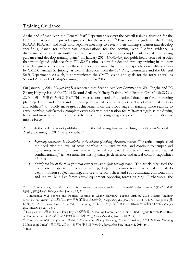# <span id="page-22-0"></span>Training Guidance

 $\overline{a}$ 

At the end of each year, the General Staff Department reviews the overall training situation for the PLA for that year and provides guidance for the next year.<sup>39</sup> Based on this guidance, the PLAN, PLAAF, PLASAF, and MRs hold separate meetings to review their training situation and develop specific guidance for subordinate organizations for the coming year. <sup>40</sup> After guidance is disseminated, subordinate units hold their own meetings to discuss implementation of the training guidance and develop training plans.<sup>41</sup> In January 2014 *Huojianbing Bao* published a series of articles that promulgated guidance from PLASAF senior leaders for Second Artillery training in the new year. The guidance conveyed in these articles is informed by important speeches on military affairs by CMC Chairman Xi Jinping, as well as direction from the 18<sup>th</sup> Party Committee and the General Staff Department. As such, it communicates the CMC's vision and goals for the force as well as Second Artillery leadership's training priorities for 2014.

On January 1, 2014 *Huojianbing Bao* reported that Second Artillery Commander Wei Fenghe and PC Zhang Haiyang issued the "2014 Second Artillery Military Training Mobilization Order" (第二炮兵 二 0 一四年军事训练动员令).<sup>42</sup> This order is considered a foundational document for unit training planning. Commander Wei and PC Zhang instructed Second Artillery's "broad masses of officers and soldiers" to "boldly make great achievements on the broad stage of training made realistic to actual combat, satisfactorily complete every task with preparation for military struggle as the driving force, and make new contributions to the cause of building a big and powerful informatized strategic missile force."

Although the order was not published in full, the following four overarching priorities for Second Artillery training in 2014 were identified:<sup>43</sup>

- *Earnestly strengthen the shouldering of the mission of training for actual combat.* The article emphasized the need raise the level of actual combat in military training and continue to temper and hone units in environments similar to actual combat. The article characterized "actual combat training" as "essential for raising strategic deterrence and actual-combat capabilities of units."
- *Strictly implement the strategic requirement to be able to fight winning battles.* The article discussed the need to see to specialized technical training, deepen drills made realistic to actual combat, do well in mission subject training, and see to senior officer and staff command confrontations and red vs. blue live-forces actual equipment opposing-forces training. Furthermore, the

<sup>&</sup>lt;sup>39</sup> Staff Commentator, "Use the Spirit of Reforms and Innovation to Intensify Actual-Combat Training" (以改革创新 精神化实战训练), *Jiefangjun Bao*, January 13, 2014, p. 1.

<sup>40</sup> Commander Wei Fenghe and Political Commissar Zhang Haiyang, "Second Artillery 2014 Military Training Mobilization Order" (第二炮兵二 0 一四年军事训练动员令), *Huojianbing Bao*, January 1, 2014, p. 1. Xu Tongxuan (徐 同宣), "PLA Air Force Holds 2014 Military Training Conference" (空军在京召开 2014 年度军事训练会议) *Kongjun Bao*, January 14, 2014, p. 1.

<sup>&</sup>lt;sup>41</sup> Dong Zhiwen (董志文) and Feng Jinyuan (冯金源), "Standing Committee of Unidentified Brigade Bravely Plays Role of 'Pacesetter' in Drill" (某旅党委演练勇当'排头兵'"), *Huojianbing Bao*, January 10, 2014, p. 1.

<sup>&</sup>lt;sup>42</sup> Commander Wei Fenghe and Political Commissar Zhang Haiyang, "Second Artillery 2014 Military Training Mobilization Order" (第二炮兵二 0 一四年军事训练动员令), *Huojianbing Bao*, January 1, 2014, p. 1.  $43$  Ibid.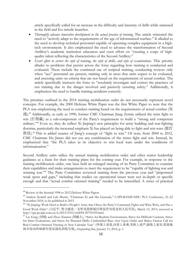article specifically called for an increase in the difficulty and intensity of drills while stationed in the field and live missile launches.

- *Thoroughly advance innovative development in the actual practice of training*. The article reiterated the need to "actively adapt to the requirements of the age of informatized warfare." It alluded to the need to develop technical personnel capable of operating complex equipment in a hightech environment. It also emphasized the need to advance the transformation of Second Artillery's academic institution education and exert effort on "creating a corps of highquality talent reflecting the characteristics of the Second Artillery."
- *Exert effort to correct the style of training, the style of drills, and style of examinations.* This priority alludes to problems that persist across the force regarding how training is conducted and evaluated. These include the continued use of scripted training, conducting reviews only when "ace" personnel are present, training only in areas that units expect to be evaluated, and assessing units on criteria that are not based on the requirements of actual combat. The article specifically instructs the force to "resolutely investigate and correct the practices of not training due to the danger involved and passively ensuring safety." Additionally, it emphasizes the need to handle training accidents correctly.

The priorities outlined in the 2014 training mobilization order do not necessarily represent novel concepts. For example, the 2000 Defense White Paper was the first White Paper to note that the PLA was emphasizing the need to conduct training based on the requirements of actual combat (实 战). <sup>44</sup> Additionally, as early as 1990, former CMC Chairman Jiang Zemin utilized the term fight to win (打得赢) as a sub-component of the Party's requirement to build a "strong and competent military." <sup>45</sup> Even so, they do reflect Xi Jinping's new principles for army building and war-fighting doctrine, particularly the increased emphasis Xi has placed on being able to fight and win wars (能打 胜仗).<sup>46</sup> This is added nuance of Jiang's concept of "fight to win." Of note, from 2004 to 2012, CMC Chairman Hu Jintao did not use any combination of the terms fight and win. Instead, he emphasized that "the PLA takes as its objective to win local wars under the conditions of informatization."

Second Artillery units utilize the annual training mobilization order and other senior leadership guidance as a basis for their training plans for the coming year. For example, in response to the training mobilization order, one base held an enlarged meeting of its Party Committee to examine their capabilities and make arrangements to meet the requirement to be "capable of fighting war and winning war."<sup>47</sup> The Party Committee reviewed training from the previous year and "pinpointed weak spots and gaps," including that studies on operational issues were not in-depth or specific enough and that "actual combat oriented training" needed to be intensified. A series of practical

<sup>44</sup> Review of the biennial 1998 to 2012 Defense White Papers.

<sup>45</sup> Andrew Scobell and Lyle Morris, "Chairman Xi and His Generals," CAPS-RAND-NDU PLA Conference, 21–22 November 2014, to be published in 2015.

<sup>&</sup>lt;sup>46</sup> "Xi Jinping: Work Hard to Build a People's Army that Obeys the Party's Command, Fights and Wins Wars, and Has a Good Work Ethic" (习近平: 努力建设一支听党指挥能打胜仗作风优良的人民军队), March 12, 2013, accessed at http://cpc.people.com.cn/n/2013/0312/c64094-20755159.html.

 $47$  Liu Gang (刘刚) and Zhou Xianren (周献人), "Strive for Realistic Environment, Strive for Difficult Contents, Strive for Strict Evaluations, and Strive for Practical Drills; Unidentified Base Acts Upon Order and Makes Clarion Call for Real Combat Oriented Training in New Calendar Year" (环球上求真,内容上求难,考核上求严,演练上求实:某基地 闻令而动吹响新年度实战化训练号角), *Huojianbing Bao*, January 11, 2014, p. 1.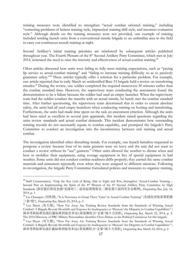training measures were identified to strengthen "actual combat oriented training," including "correcting problems of lenient training style, impractical training drill style, and incorrect evaluation style." Although details on the training measures were not provided, one example of training included sending launch units from a conventional missile brigade to an unfamiliar area in the field to carry out continuous assault training at night.

Second Artillery's initial training priorities are reinforced by subsequent articles published throughout year. The Fourth Plenum of the 8<sup>th</sup> Second Artillery Party Committee, which met in July 2014, reiterated the need to raise the intensity and effectiveness of actual-combat training.<sup>48</sup>

Other articles discussed how units were failing to fully meet training expectations, such as "paying lip service to actual-combat training" and "failing to increase training difficulty so as to passively guarantee safety." <sup>49</sup> These articles typically offer a solution for a particular problem. For example, one article reported that in early March an unidentified Base 53 brigade held a review on transferring missiles.<sup>50</sup> During the review, one soldier completed the required maneuvers 30 minutes earlier than the combat standard time. However, the supervisory team conducting the assessment found the demonstration to be a failure because the soldier had used an empty launcher. When the supervisory team had the soldier conduct the transfer with an actual missile, he barely met the combat standard time. After further questioning, the supervisory team determined that in order to ensure absolute safety, the units had all used empty launchers when conducting training on hosting and transferring. Furthermore, the units had made time spent on the task an assessment criterion. Although the units had been rated as excellent in several past appraisals, this incident raised questions regarding the units review standards and actual combat demands. This incident demonstrates how outstanding training records do not necessarily equate to combat capability, and prompted the brigade's Party Committee to conduct an investigation into the inconsistency between unit training and actual combat.

The investigation identified other disturbing trends. For example, one launch battalion requested to postpone a review because four of its main gunners were on leave and the unit did not want to conduct a review without its "ace" gunners.<sup>51</sup> Other units allowed the weather to dictate when and how to mobilize their equipment, using average equipment in lieu of special equipment in bad weather. Some units did not conduct combat readiness drills properly; they carried the same combat materials and armament repeatedly even when they were assigned to different missions. Following its investigation, the brigade Party Committee formulated policies and measures to organize training,

<sup>&</sup>lt;sup>48</sup> Staff Commentator, "Grip the Key Link of Being Able to Fight and Win, Strengthen 'Actual-Combat Training -Second Part on Implementing the Spirit of the 4<sup>th</sup> Plenum of the 8<sup>th</sup> Second Artillery Party Committee by High Standards (扭住能打胜仗加强"实战化":二论高标准彻落实二炮党委八届四次全会精神), *Huojianbing Bao*, July 16, 2014, p. 1.

<sup>&</sup>lt;sup>49</sup> Liu Chuanguo (刘传国), "It is Necessary to Grasp Three 'Lines' in Actual-Combat Training" (实战化训练需要把握 三条"线"), *Huojianbing Bao*, March 25, 2014, p. 3.

<sup>&</sup>lt;sup>50</sup> Luo Dayin (刘大银), "How Far Away Are Training Review Standards from the Standards of Winning Actual Combat? A Brigade Reveals Shortfalls and Exposes Its Inadequacies to 'Measure' the Disparity in Combat Capabilities" ( 演训考核标准实战打赢标准到底差多远?:某旅揭短丑"丈量"战斗力差距), *Huojianbing Bao*, March 22, 2014, p. 2. The 2014 Directory of PRC Military Personalities identifies Chen Zhihao as the Political Commissar for this brigade.

 $51$  Luo Dayin (刘大银), "How Far Away Are Training Review Standards from the Standards of Winning Actual Combat? A Brigade Reveals Shortfalls and Exposes Its Inadequacies to 'Measure' the Disparity in Combat Capabilities" ( 演训考核标准实战打赢标准到底差多远?:某旅揭短丑"丈量"战斗力差距), *Huojianbing Bao*, March 22, 2014, p. 2.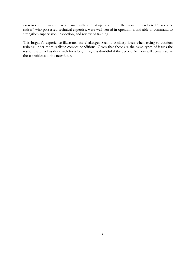exercises, and reviews in accordance with combat operations. Furthermore, they selected "backbone cadres" who possessed technical expertise, were well-versed in operations, and able to command to strengthen supervision, inspection, and review of training.

This brigade's experience illustrates the challenges Second Artillery faces when trying to conduct training under more realistic combat conditions. Given that these are the same types of issues the rest of the PLA has dealt with for a long time, it is doubtful if the Second Artillery will actually solve these problems in the near future.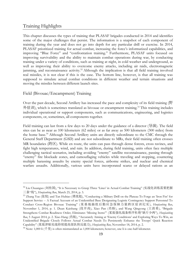# <span id="page-26-0"></span>Training Highlights

 $\overline{a}$ 

This chapter discusses the types of training that PLASAF brigades conducted in 2014 and identifies some of the major challenges that persist. The information is a snapshot of each component of training during the year and does not go into depth for any particular drill or exercise. In 2014, PLASAF prioritized training for actual combat, increasing the force's informatized capabilities, and improving "Blue Force" and "confrontation training." Furthermore, PLASAF units focused on improving survivability and the ability to maintain combat operations during war, by conducting training under a variety of conditions, such as training at night, in cold weather and underground, as well as improving their ability to overcome enemy attacks, including air raids, electromagnetic jamming, and reconnaissance activity.<sup>52</sup> Although the implication is that all field training involved real missiles, it is not clear if this is the case. The bottom line, however, is that all training was supposed to simulate actual combat conditions in different weather and terrain situations and moving the missiles between different launch sites.

#### Field (Bivouac/Encampment) Training

Over the past decade, Second Artillery has increased the pace and complexity of its field training (野) 外驻训), which is sometimes translated as bivouac or encampment training.<sup>53</sup> This training includes individual operational or support components, such as communications, engineering, and logistics components, or, sometimes, all components together.

Field training can last from a few days to 20 days under the guidance of a director (导演). The field sites can be as near as 100 kilometers (62 miles) or as far away as 500 kilometers (300 miles) from the home base.<sup>54</sup> Although Second Artillery units are directly subordinate to the CMC through the General Staff Department (GSD) and are not subordinate to MRs, their field training often crosses MR boundaries (跨区). While en route, the units can pass through dense forests, cross ravines, and fight high temperatures, wind, and rain. In addition, during field training, units often face multiple challenging tactical scenarios, including avoiding "enemy" satellite reconnaissance, passing through "enemy" fire blockade zones, and camouflaging vehicles while traveling and stopping, countering multiple harassing assaults by enemy special forces, airborne strikes, and nuclear and chemical warfare assaults. Additionally, various units have incorporated scarce or delayed rations as an

<sup>52</sup> Liu Chuanguo (刘传国), "It is Necessary to Grasp Three 'Lines' in Actual-Combat Training" (实战化训练需要把握 三条"线"), *Huojianbing Bao*, March 25, 2014, p. 3.

<sup>53</sup> Zhang Yue (张悅) and Tan Hubiao (谭虎彪), "Conducting a Military Drill on the Plateau To Forge an 'Iron Fist' for Support Service -- A Factual Account of an Unidentified Base Designating Logistic Contingency Support Personnel To Conduct Cross-Region Bivouac Training" (某基地抽组后勤应急保障力量跨区驻训纪实), *Huojianbing Bao*, November 1, 2014, p. 1. Duan Kaishang (段开尚), Xiao Pan (肖盼), and Wang Qingyong (王清勇), "Brigade Strengthens Combat Readiness Order, Eliminates 'Missing Items'" (某旅强化战备秩序杜绝"缺斤少两"), *Huojianbing Bao*, 5 August 2014, p. 2. Xiao Hang (肖航), "Accurately Aiming at 'Enemy Conditions' and Exploring Ways To Win, an Unidentified Brigade Closely Follows Actual Combat Needs To Persistently Enhance the Troops' Quick Reaction Capability" (某旅津贴实战持续提高部队快反能力), *Huojianbing Bao*, November 18, 2014, p. 2.

<sup>54</sup> Note: 1,000 li (千里) is often mistranslated as 1,000 kilometers; however, one li is one-half kilometer.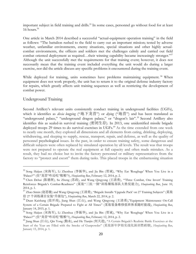important subject in field training and drills.<sup>55</sup> In some cases, personnel go without food for at least 16 hours. $56$ 

One article in March 2014 described a successful "actual-equipment operation training" in the field as follows: "The battalion rushed to the field to carry out an important mission; tested by adverse weather, unfamiliar environments, enemy situations, special situations and other highly actualcombat environments, the officers and soldiers met the challenges calmly and carried out field combat oriented deployment as required…their winning capability became increasingly stronger."<sup>57</sup> Although the unit successfully met the requirements for that training event; however, it does not necessarily mean that the training event included everything the unit would do during a larger exercise, nor did the article discuss any specific problems it encountered during the training event.

While deployed for training, units sometimes have problems maintaining equipment.<sup>58</sup> When equipment does not work properly, the unit has to return it to the original defense industry factory for repairs, which greatly affects unit training sequences as well as restricting the development of combat power.

#### Underground Training

 $\overline{a}$ 

Second Artillery's relevant units consistently conduct training in underground facilities (UGFs), which it identifies as *dixia longying* ("地下龙营") or *diying* ("地营") and has been translated as "underground palace," "underground dragon palace," or "dragon's lair".<sup>59</sup> Second Artillery also identifies this as sealed-in survival training (密闭生存). In 2013, one unidentified missile brigade deployed troops 29 times to do survival exercises in UGFs.<sup>60</sup> As the time extended from one week to nearly one month, they explored all dimensions and all elements from eating, drinking, deploying, withdrawing, and sleeping to supply, rescue, transport, repair, and defense, as well as the quality of personnel psychological issues. In the past, in order to ensure training safety, some dangerous and difficult subjects were often replaced by simulated operation by all levels. The result was that troops were not prepared to operate the real equipment at full capacity and often made mistakes. As a result, they had no choice but to invite the factory personnel or military representatives from the factory to "protect and escort" them during tasks. This placed troops in the embarrassing situation

<sup>55</sup> Song Haijun (宋海军), Li Zhenhua (李振华), and Jia Bin (贾斌), "Why Eat 'Roughage' When You Live in a 'Palace?'" (住"龙营"咋还吃"粗粮"?), *Huojianbing Bao*, February 12, 2014, p. 2.

<sup>56</sup> Chen Dehui (陈德挥), Su Zheng (苏政), and Wang Qingyong (王清勇), "'Three Combat, One Invert' Training Reinforces Brigade's Combat-Readiness" (某旅"三抗一倒"训练锤炼部队大胜仗能力), *Huojianbing Bao*, June 10, 2014, p. 1.

<sup>57</sup> Zhao Simin (赵思敏) and Wang Qingyong (王清勇), "Brigade Installs 'Upgrade Pack' on 27 Training Subjects" (某旅 给 27 个训练课目安装"升级包"), *Huojianbing Bao*, March 22, 2014, p. 2.

<sup>&</sup>lt;sup>58</sup> Duan Kaishang (段开尚), Jiang Shan (江山), and Wang Qingyong (王清勇),"Equipment Maintenance On-Call System of a Certain Brigade Prepared to Fight at All Times" (某旅装备维修值班体系随时能战), *Huojianbing Bao*, January 14, 2015, p. 1.

<sup>59</sup> Song Haijun (宋海军), Li Zhenhua (李振华), and Jia Bin (贾斌), "Why Eat 'Roughage' When You Live in a 'Palace?'" (住"龙营"咋还吃"粗粮"?), *Huojianbing Bao*, February 12, 2014, p. 2.

 $^{60}$  Jiang Shan (江山), Qin Yong (勤永), and He Tianjin (何天进), "A Certain Brigade's Realistic Battle Exercises at the Start of the Year are Filled with the Smoke of Gunpowder" (某旅新年伊始实战化演训燃硝烟), *Huojianbing Bao*, January 15, 2014, p. 1.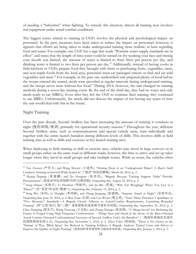of needing a "babysitter" when fighting. To remedy this situation, almost all training now involves real equipment under actual combat conditions.

The biggest issues related to training in UGFs involve the physical and psychological impact on personnel. In the past, measures have been taken to reduce the impact on personnel; however, it appears that efforts are being taken to make underground training more realistic, at least regarding food and water. For example, one UGF has a sign that reads "Wartime water supply standards are in effect" and states that the length of time water could be turned on for washing your face and rinsing your mouth was limited, the amount of water is limited to three liters per person per day, and drinking water is limited to two liters per person per day.<sup>61</sup> Additionally, instead of having cooks in field kitchens or UGFs prepare food they brought with them or purchasing fruits, vegetables, meat, and non-staple foods from the local area, personnel must eat packaged rations or find and eat wild vegetables and meat.<sup>62</sup> For example, in the past one unidentified unit prepared plenty of food before the troops entered the tunnel, meals were provided at regular intervals during underground training, and the troops never went without hot food.<sup>63</sup> During 2014, however, the unit changed its training methods during a seven-day training event. By the end of the third day, they had no water and only meals ready to eat (MREs). Even after they left the UGF to continue their training, they continued to use MREs. Unfortunately, the article did not discuss the impact of not having any water or how the unit would deal with this in the future.

#### Night Training

 $\overline{a}$ 

Over the past decade, Second Artillery has been increasing the amount of training it conducts at night (夜间训练/夜训) primarily for operational security reasons.<sup>64</sup> Throughout the year, different Second Artillery units, such as communications and special vehicle units, train individually and together with the entire launch battalion during different levels of drills. This involves drills at field training sites as well as drills and exercises at live launch training sites.

When deploying to field training or drill or exercise sites, vehicles may travel in large convoys or in small groups either on the same road or different roads; however, the time to arrive and set up takes longer when they travel in small groups and take multiple routes. While en route, the vehicles often

<sup>61</sup> Yan Zuoren (严作人) and Wang Shuwei (王述伟), "Honing Deep in an 'Underground Palace': A Base's Staff Conducts Training in Survival While Sealed In" ("地营"深处的磨砺), March 26, 2014, p. 2.

 $62$  Huang Depeng (黄德鹏) and Xu Hongjun (徐洪均), "Brigade Bivouac Training Support 'Halts' Periodic Procurements" (某旅业外驻训保障'叫停'定期采购), *Huojianbing Bao*, August 22, 2014, p. 2.

<sup>63</sup> Song Haijun (宋海军), Li Zhenhua (李振华), and Jia Bin (贾斌), "Why Eat 'Roughage' When You Live in a 'Palace?'" (住"龙营"咋还吃"粗粮"?), *Huojianbing Bao*, February 12, 2014, p. 2.

 $^{64}$  Song Wei (宋玮), Li Honglin (李鸿林), and Zhang Jiangang (张建刚), "Surprise Attack at Night" (星夜突击), *Huojianbing Bao*, June 25, 2014, p. 4. Ren Yuan (任原) and Cao Wenxi (曹文希), "Train 'Three Precision' Capabilities to "Five Measures" Standards—A Brigade Closely Adheres to Actual-Combat Requirements, Launching Remedial Training" (用"五度"标尺 练"三精": 谋旅紧贴实战需要开展补差训练), *Huojianbing Bao*, September 24, 2014, p. 2. Chen Xianping (陈先平), Wang Yousong (王友松), and Zhang Xianqiu (张显秋), "A 'Sharp Sword' for Defeating the Enemy Is Forged Using High-Frequency Confrontation -- Things Seen and Heard at the Scene of the Base-Oriented Actual Combat-Oriented Confrontational Exercises of Second Artillery Unit's 5th Battalion" (二炮部队基地化实战对 抗演练现场见闻之五), *Huojianbing Bao*, November 1, 2014, p. 2. Zhou Yubo (周雨波), "There is No Choice in the 'Timing' of War; 'Blind Spots' Are Refused in Training Soldiers; A Brigade Analyzes Typical Cases and Strives to Improve the Quality of Night Training" (某旅剖析典型事例着力提高夜训质量), *Huojianbing Bao*, January 1, 2014, p. 2.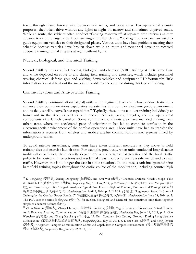travel through dense forests, winding mountain roads, and open areas. For operational security purposes, they often drive without any lights at night on narrow and sometimes unpaved roads. While en route, the vehicles often conduct "flanking maneuvers" at separate time intervals as they advance toward the target area. Upon arriving at the launch site, "cold light conductors" are used to guide equipment vehicles to their designated places. Various units have had problems meeting their schedule because vehicles have broken down while en route and personnel have not received adequate training to make repairs at night without lights.

#### Nuclear, Biological, and Chemical Training

Second Artillery units conduct nuclear, biological, and chemical (NBC) training at their home base and while deployed en route to and during field training and exercises, which includes personnel wearing chemical defense gear and washing down vehicles and equipment.<sup>65</sup> Unfortunately, little information is available about the success or problems encountered during this type of training.

#### Communications and Anti-Satellite Training

 $\overline{a}$ 

Second Artillery communications (signal) units at the regiment level and below conduct training to enhance their communications capabilities via satellites in a complex electromagnetic environment and to deny satellite surveillance capabilities.<sup>66</sup> Typically, these units conduct training individually at home and in the field, as well as with Second Artillery bases, brigades, and the operational components of a launch battalion. Some communications units also have included training near urban areas, where the accelerated pace of urbanization has led to complete confusion in the electromagnetic environment of the combat operations area. Those units have had to transfer the information it receives from wireless and mobile satellite communications into systems linked by underground cables.

To avoid satellite surveillance, some units have taken different measures as they move to field training sites and exercise launch sites. For example, previously, when units conducted long-distance mobilization activities, their security department would arrange for sentries and the local traffic police to be posted at intersections and residential areas in order to ensure a safe march and to clear traffic. However, this is no longer the case in some situations. In one case, a unit incorporated nine battlefield training topics throughout the entire course of the mobilization, including counter-high

<sup>&</sup>lt;sup>65</sup> Li Pengyong (李鹏勇), Zhang Dongliang (张栋梁), and Zhu Wei (朱伟), "Chemical Defense 'Crack Troops' Take the Battlefield" (防化"尖兵"上战场), *Huojianbing Bao*, April 26, 2014, p. 2. Zhang Yanhe (张延合), Xiao Yunjian (肖云 舰), and Tian Liang (田亮), "Brigade Analyzes Typical Case, Fixes Its Style of Training, Exercises and Testing" (某旅剖 析典型事例纯正训风演风考风), *Huojianbing Bao*, April 5, 2014, p. 2. Li Mijia (李密佳) "Regiment's Sealed-In Survival Training by the Combat Power Standard" (某团密闭生存训练坚持战斗力标准), *Huojianbing Bao*, June 28, 2014, p. 2. The PLA uses the terms *he sheng hua* (核生化) for nuclear, biological, and chemical, but sometimes lump them together simply as chemical defense (防化).

<sup>66</sup> Zhou Xianren (周献人), Zhang Chongyu (张翀宇), Liu Gang (刘刚), "Signal Regiment Focuses on Actual Combat As It Practices Assuring Communication" (某通信团着眼实战练保通), *Huojianbing Bao*, June 11, 2014, p. 1. Gao Wenchao (高文超) and Zhang Xiaoliang (张小良), "A Unit Conducts Sets Testing Grounds During Long-distance Mobilization" (某部远程机动沿途设置考场), *Huojianbing Bao*, July 19, 2014, p. 1. Hu Yikai (胡亦锴) and Feng Jinyuan (冯金源), "Regiment Tempers Communication Command Capabilities in Complex Environment" (某团复杂环境锤炼 通信指挥能力), *Huojianbing Bao*, January 22, 2014, p. 2.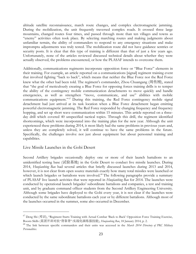altitude satellite reconnaissance, march route changes, and complex electromagnetic jamming. During the mobilization, the unit frequently traversed complex roads. It crossed three large mountains, changed routes four times, and passed through more than ten villages and towns as "enemy" activities often took place. By selecting marching routes and making judgments about unfamiliar terrain, the ability of commanders to respond to any emergency situations and make impromptu adjustments was truly tested. The mobilization route did not have guidance sentries or security posts. It is clear that this type of training is different than that of just a few years ago. Unfortunately, none of the articles reviewed discussed technical details about whether they were actually observed, the problems encountered, or how the PLASAF intends to overcome them.

Additionally, communications regiments incorporate opposition force or "Blue Force" elements in their training. For example, an article reported on a communications [signal] regiment training event that involved fighting "back to back", which means that neither the Blue Force nor the Red Force knew what the other had been told. The regiment's commander, Zhou Chuangang (周传刚), stated that "the goal of meticulously creating a Blue Force for opposing forces training drills is to temper the ability of the contingency mobile communication detachments to move quickly and handle emergencies, as well as strengthen "move, communicate, and use" abilities with mobile communications equipment."<sup>67</sup> During this training, the Red Force contingency mobile signal detachment had just arrived at its task location when a Blue Force detachment began emitting powerful electromagnetic jamming. The Red Force responded by changing frequency and frequency hopping, and set up short wave communication within 15 minutes. This article reported on a threeday drill which covered 40 unspecified tactical topics. Through this drill, the regiment identified shortcomings, which were incorporated into the training plan for the new year. Although the unit experienced these problems during 2014, it most likely had the same problems in previous years and, unless they are completely solved, it will continue to have the same problems in the future. Specifically, the challenges involve not just about equipment but about personnel training and capabilities.

#### Live Missile Launches in the Gobi Desert

 $\overline{a}$ 

Second Artillery brigades occasionally deploy one or more of their launch battalions to an unidentified testing base (试验基地) in the Gobi Desert to conduct live missile launches. During 2014, *Huojianbing Bao* had several articles that briefly discussed launches during 2013 and 2014, however, it is not clear from open source materials exactly how many total missiles were launched or which launch brigades or battalions were involved.<sup>68</sup> The following paragraphs provide a summary of PLASAF live launch activities that were reported in *Huojianbing Bao* for 2014. The launches were conducted by operational launch brigades' subordinate battalions and companies, a test and training unit, and by graduate command officer students from the Second Artillery Engineering University. Although some brigades have deployed to the Gobi every year, it is not clear if the launches were conducted by the same subordinate battalions each year or by different battalions. Although most of the launches occurred in the summer, some also occurred in December.

<sup>67</sup> Deng Shi (邓识), "Regiment Starts Training with Actual Combat 'Back to Back' Opposition Force Training Exercise, Boosts Skills (某团开训对抗"背靠背":实战化演练强技能), *Huojianbing Bao*, 18 January 2014, p. 2.

<sup>68</sup> The link between specific commanders and their units was accessed in the *March 2014 Directory of PRC Military Personalities*.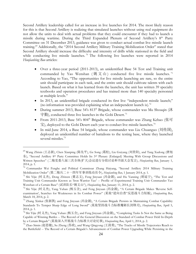Second Artillery leadership called for an increase in live launches for 2014. The most likely reason for this is that Second Artillery is realizing that simulated launches without using real equipment do not allow the units to deal with actual problems that they could encounter if they had to launch a missile during wartime. During the Third Expanded Plenum of Second Artillery's 8<sup>th</sup> Party Committee on 31 December 2013, guidance was given to conduct actual combat live missile launch training.<sup>69</sup> Additionally, the "2014 Second Artillery Military Training Mobilization Order" stated that Second Artillery should increase the difficulty and intensity of drills while stationed in the field and while conducting live missile launches.<sup>70</sup> The following live launches were reported in 2014 *Huojianbing Bao* articles:

- Over a three-year period (2011-2013), an unidentified Base 54 Test and Training unit commanded by Yao Wenshan (姚文山) conducted five live missile launches.<sup>71</sup> According to Yao, "The opportunities for live missile launching are rare, so the entire unit should participate in each task, and the entire unit should cultivate talents with each launch. Based on what it has learned from the launches, the unit has written 39 specialty textbooks and operation procedures and has trained more than 140 specialty personnel at multiple levels."
- In 2013, an unidentified brigade conducted its first live "independent missile launch;" (no information was provided explaining what an independent launch is). 72
- During summer 2013, Base 54's 813<sup>th</sup> Brigade, whose commander was Mu Shouqin (沐 守勤), conducted three live launches in the Gobi Desert.<sup>73</sup>
- From 2011-2013, Base 54's 804<sup>th</sup> Brigade, whose commander was Zhang Kebao (张可  $\hat{\Xi}$ ), deployed to the Gobi Desert each year to conduct live missile launches.<sup>74</sup>
- In mid-June 2014, a Base 54 brigade, whose commander was Liu Chuanguo (刘传国), deployed an unidentified number of battalions to the testing base, where they launched several missiles.<sup>75</sup>

<sup>&</sup>lt;sup>69</sup> Wang Zhixin (王志新), Chen Xianping (陈先平), Ge Song (葛松), Liu Guiyang (刘贵阳), and Tang Xudong (唐旭 东), "Second Artillery 8<sup>th</sup> Party Committee Holds Its 3<sup>rd</sup> Plenary (Enlarged) Meeting With Group Discussions and Written Speeches" (二炮党委八届三次全体(扩大)会议进行分组讨论和书面大会发言), *Huojianbing Bao*, January 1, 2014, p. 1.

<sup>70</sup> Commander Wei Fenghe and Political Commissar Zhang Haiyang, "Second Artillery 2014 Military Training Mobilization Order" (第二炮兵二 0 一四年军事训练动员令), *Huojianbing Bao*, 1 January 2014, p. 1.

 $71$  Shi Yijie (时义杰), Dong Zhiwen (董志文), Feng Jinyuan (冯金源), and Hu Yanning (胡延宁), "The Test and Training Unit Commander Known as 'Iron Warrior Yao' -- Profile of Experimental Training Unit Commander Yao Wenshan of a Certain Base" (试训队长"姚文山"), *Huojianbing Bao*, January 11, 2014, p. 2.

<sup>72</sup> Shi Yijie (时义杰), Yang Yuhan (杨玉含), and Feng Jinyuan (冯金源), "A Certain Brigade Makes 'Reverse Selfexamination', Searches for Weaknesses in Its Combat Power" (某旅"逆向自查"反思战斗力短板), *Huojianbing Bao*, March 18, 2014, p. 2.

<sup>73</sup> Zhang Xinkai (张新凯) and Feng Jinyuan (冯金源), "A Certain Brigade Persists in Maintaining Combat Capability Standards To Temper Sharp Edge of Long Sword" (某旅坚持战斗力标准魔砺长剑锋刃), *Huojianbing Bao*, April 5, 2014, p. 1.

<sup>&</sup>lt;sup>74</sup> Shi Yijie (时义杰), Yang Yuhan (杨玉含), and Feng Jinyuan (冯金源),, "Completing Tasks Is Not the Same as Being Capable of Winning Battles -- The Record of the General Discussion on the Standard of Combat Power Held In-Depth by a Certain Brigade" (某旅深入开展战斗力标准大讨论纪事), *Huojianbing Bao*, April 1, 2014, p. 2.

<sup>75</sup> Zhao Simin (赵思敏), Su Zheng (苏政), and Wang Qingyong (王清勇), "The Tracks of Missile Trajectories Reach to the Battlefield -- The Record of a Certain Brigade's Advancement of Combat Power Upgrading While Persisting in the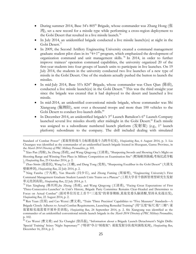- During summer 2014, Base 54's  $805<sup>th</sup>$  Brigade, whose commander was Zhang Hong ( $\frac{4}{10}$ ) 鸿), set a new record for a missile type while performing a cross-region deployment to the Gobi Desert that resulted in a live missile launch.<sup>76</sup>
- In July 2014, an unidentified brigade conducted a live missile launch(es) at night in the Gobi Desert.<sup>77</sup>
- In 2009, the Second Artillery Engineering University created a command management graduate student pilot class in its "4+1" program, which emphasized the development of organization command and unit management skills. <sup>78</sup> In 2014, in order to further improve trainees' operation command capabilities, the university organized 20 of the first-year students into four groups of launch units to participate in live launches. On 19 July 2014, the students in the university conducted two live launches of a new type of missile in the Gobi Desert. One of the students actually pushed the button to launch the missiles.
- In mid-July 2014, Base 55's 824<sup>th</sup> Brigade, whose commander was Chen Qian (陈前), conducted a live missile launch(es) in the Gobi Desert.<sup>79</sup> This was the third straight year since the brigade was created that it had deployed to the desert and launched a live missile.
- In mid-2014, an unidentified conventional missile brigade, whose commander was Shi Xiangyang (施湘阳), sent over a thousand troops and more than 100 vehicles to the Gobi Desert to conduct live-launch drills.<sup>80</sup>
- In December 2014, an unidentified brigade's  $3<sup>rd</sup>$  Launch Battalion's  $6<sup>th</sup>$  Launch Company launched several live missiles shortly after midnight in the Gobi Desert.<sup>81</sup> Each missile was assigned to a subordinate numbered launch platform (发射架) (e.g., 1<sup>st</sup> launch platform) subordinate to the company. The drill included dealing with simulated

 $\overline{a}$ 

 $^{78}$  Ning Fanshu (宁凡树), Yan Shaoshi (闫少石), and Zhong Fuming (周福明), "Engineering University's First Command Management Graduate Student Launch Units Trains on a Plateau" (工程大学首个指挥管理型研究生发射 单元亮剑高原), *Huojianbing Bao*, 22 July 2014, p. 1.

<sup>79</sup> Han Xingbang (韩兴邦),Su Zheng (苏政), and Wang Qingyong (王清勇), "Facing Great Expectations of First 'Three-Consecutive-Launches' in Unit's History, Brigade Party Committee Remains Clear-Headed and Determines to Focus on Actual Combat" (面对单位历史上首个"三连发"的荣誉期盼,某旅党委头脑清醒,坚持从实战出发), *Huojianbing Bao*, 22 August 2014, p. 2.

Standard of Combat Power" (某旅坚持战斗力标准进战斗力跨升纪实), *Huojianbing Bao*, 6 August 2014, p. 3. Liu Chuanguo was identified as the commander of an unidentified launch brigade located in Shaoguan, Gansu Province, in the *March 2014 Directory of PRC Military Personalities*, p. 101.

<sup>76</sup> Xiao Pan (肖盼), Su Zheng (苏政), and Wang Qingyong (王清勇), "Sharpening Swords and Showing One's Might on Shooting Range and Winning First Place in Military Competition on Examination Site" (靶场砺剑扬威;考场比武夺魁 ), *Huojianbing Bao*, 25 October 2014, p. 2.

 $77$  Zhao Simin (赵思民), Wang Lu (王璐), and Dang Tong (党彤), "Sharpening Excalibur in the Gobi Desert" (大漠戈 壁砺神剑), *Huojianbing Bao*, 22 July 2014, p. 2.

<sup>80</sup> Ren Yuan (任原) and Cao Wenxi (曹文希), "Train 'Three Precision' Capabilities to "Five Measures" Standards—A Brigade Closely Adheres to Actual-Combat Requirements, Launching Remedial Training" (用"五度"标尺 练"三精": 谋 旅紧贴实战需要开展补差训练), *Huojianbing Bao*, 24 September 2014, p. 2. Shi Xiangyang was identified as the commander of an unidentified conventional missile launch brigade in the *March 2014 Directory of PRC Military Personalities*, p. 102.

<sup>81</sup> Cao Wenxi (曹文希) and Xu Changlei (徐昌磊), "Information about a Brigade Launch Detachment's Night Drills: 'Special Training' Seizes 'Night Supremacy'" ("特训"夺占"制夜权": 谋旅发射分队夜间演练见闻), *Huojianbing Bao*, December 16, 2014, p. 2.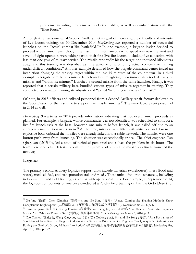problems, including problems with electric cables, as well as confrontation with the "Blue Force."

Although it remains unclear if Second Artillery met its goal of increasing the difficulty and intensity of live launch training, on 30 December 2014 *Huojianbing Bao* reported a number of successful launches on the "actual combat-like battlefield." <sup>82</sup> In one example, a brigade leader decided to proceed with a launch even though the maximum instantaneous wind speed was near the limit and seven of eight operators were taking part in their first live-fire launch, including five conscripts with less than one year of military service. The missile reportedly hit the target one thousand kilometers away, and this training was described as "the epitome of promoting actual combat-like training under difficult conditions." Another example described how the brigade command center issued an instruction changing the striking target within the last 15 minutes of the countdown. In a third example, a brigade completed a missile launch under dim lighting, then immediately took delivery of missiles and "within xx minutes" launched a second missile from the same launcher. Finally, it was reported that a certain military base bundled various types of missiles together in training. They conducted coordinated training step-by-step and "joined 'hard fingers' into an 'iron fist'."

Of note, in 2013 officers and enlisted personnel from a Second Artillery repair factory deployed to the Gobi Desert for the first time to support live missile launches.<sup>83</sup> The same factory sent personnel in 2014 as well.

*Huojianbing Bao* articles in 2014 provide information indicating that not every launch proceeds as planned. For example, a brigade, whose commander was not identified, was scheduled to conduct a live-fire launch task at the base; however, one minute before launch, it was called off due to an emergency malfunction in a system.<sup>84</sup> At the time, missiles were fitted with initiators, and dozens of explosive bolts onboard the missiles were already linked into a cable network. The missiles were one button-push away from launching. The situation was exceptionally critical. The chief engineer, Tan Qingquan (谭清泉), led a team of technical personnel and solved the problem in six hours. The team then conducted 50 tests to confirm the system worked, and the missile was finally launched the next day.

#### **Logistics**

 $\overline{a}$ 

The primary Second Artillery logistics support units include materials (warehouses), mess (food and water), medical, fuel, and transportation (rail and road). These units often train separately, including individual unit and field training, as well as with operational units. For example, in September 2014, the logistics components of one base conducted a 20-day field training drill in the Gobi Desert for

<sup>&</sup>lt;sup>82</sup> Xu Jing (徐晶), Chen Xianping (陈先平), and Ge Song (葛松), "Actual Combat-like Training Methods Show Conspicuous Bright Spots" (二炮部队 2014 年度着力加强实战化演训巡礼), December 30, 2014, p. 1.

<sup>83</sup> Tang Renjiang (汤仁江), Cheng Fengtao (程峰涛), and Feng Jinyuan (冯金源) "Liu Haichao: Smile Accompanies Missile As It Whistles Towards Sky" (刘海超;微笑伴着神剑飞), *Huojianbing Bao*, March 5, 2014, p. 3.

<sup>84</sup> Cao Yazhou (操亚洲), Wang Qingyong (王清勇), Wu Xudong (伍旭东), and Ge Song (葛松), "At a Post, a set of Shoulders of Iron Bear the Weight of Mountains – Series on Brigade Senior Engineer Tan Qingquan's Dedication to Putting the Goal of a Strong Military Into Action" (某旅高级工程师谭清泉献身强军实践系列报道), *Huojianbing Bao*, April 16, 2014, p. 1–2.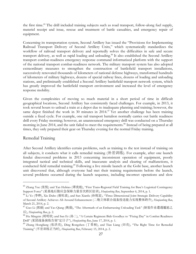the first time.<sup>85</sup> The drill included training subjects such as road transport, follow-along fuel supply, materiel receipt and issue, rescue and treatment of battle casualties, and emergency repair of equipment.

Concerning its transportation system, Second Artillery has issued the "Provisions for Implementing Railroad Transport Delivery of Second Artillery Units," which systematically standardizes the workflow of railroad transport delivery and reportedly solves the difficulties in safe and secure transport delivery, as well as rapid loading and unloading.<sup>86</sup> It also established the Second Artillery transport combat-readiness emergency response command informatized platform with the support of the national transport combat-readiness network. The military transport system has also adopted extraordinary measures to strengthen the construction of battlefield transport installations, successively renovated thousands of kilometers of national defense highways, transformed hundreds of kilometers of military highways, dozens of special railway lines, dozens of loading and unloading stations, and preliminarily established a Second Artillery battlefield transport network system, which has greatly improved the battlefield transport environment and increased the level of emergency response mobility.

Given the complexities of moving so much material in a short period of time in difficult geographical locations, Second Artillery has consistently faced challenges. For example, in 2013, it took several hours to unload a train at a depot due to inadequate planning and training; however, the same depot finished the work in 30 minutes in 2014.<sup>87</sup> Yet another challenge has been training outside a fixed cycle. For example, one rail transport battalion normally carries out battle readiness drill every Friday morning; however, an unannounced emergency drill was conducted on a Thursday morning in June 2014, and the unit failed to meet the requirements.<sup>88</sup> Instead of being prepared at all times, they only prepared their gear on Thursday evening for the normal Friday training.

#### Remedial Training

 $\overline{a}$ 

After Second Artillery identifies certain problems, such as training to the test instead of training on all subjects, it conducts what it calls remedial training (补差训练). For example, after one launch fendui discovered problems in 2013 concerning inconsistent operation of equipment, poorly integrated tactical and technical skills, and inaccurate analysis and clearing of malfunctions, it conducted field remedial training.<sup>89</sup> Following a live missile launch at the Gobi base, another launch unit discovered that, although everyone had met their training requirements before the launch, several problems occurred during the launch sequence, including incorrect operations and slow

<sup>85</sup> Zhang Yue (张悦) and Tan Hubiao (谭虎彪), "First Trans-Regional Field Training for Base's Logistical Contingency Support Force" (某基地后勤应急保障力量首次跨区驻训), *Huojianbing Bao*, September 6, 2014, p. 1.

 $86$  Li Ye (李晔), Xie Dubo (谢杜波), and Sun Xianfu (孙现富), "Three Dimensional Joint Strategic Delivery Capability of Second Artillery Achieves All-Around Enhancement (二炮立体联合战备投送能力实现整体跨升), *Huojianbing Bao*, March 21, 2014, p. 2.

 $87$  Guo Li (郭丽) and Yao Qiang (姚强), "The Aftermath of an Embarrassing Unloading Task" (缺装作业遭遇尴尬之 后), *Huojianbing Bao*, p. 2.

 $88$  Hu Mingxin (胡明欣) and Sun Er (孙二), "A Certain Regiment Bids Goodbye to "Fixing Day" in Combat Readiness Drill" (某团战备演练告别"定日子"), *Huojianbing Bao*, June 17, 2014, p. 1.

<sup>89</sup> Zhang Hongliang (张洪亮), Ding Rongzhen (丁荣桢), and Tian Liang (田亮), "The Right Time for Remedial Training" (不差训练正当时), *Huojianbing Bao*, February 15, 2014, p. 2.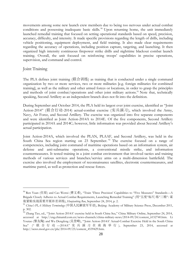movements among some new launch crew members due to being too nervous under actual combat conditions and possessing inadequate basic skills.<sup>90</sup> Upon returning home, the unit immediately launched remedial training that focused on setting operational standards based on speed, precision, accuracy, difficulty, and intensity. It made specific provisions regarding the length of drills, including vehicle positioning, equipment deployment, and field training. It also made clear requirements regarding the accuracy of operations, including position capture, targeting, and launching. It then organized high intensity continuous firepower strike drills and nighttime blackout combat launch training. Overall, the unit focused on reinforcing troops' capabilities in precise operations, supervision, and command and control.

#### Joint Training

 $\overline{a}$ 

The PLA defines joint training (联合训练) as training that is conducted under a single command organization by two or more services, two or more militaries [e.g. foreign militaries for combined training], as well as the military and other armed forces or locations, in order to grasp the principles and methods of joint combat/operations and other joint military actions.<sup>91</sup> Note that, technically speaking, Second Artillery as an independent branch does not fit into the definition.

During September and October 2014, the PLA held its largest ever joint exercise, identified as "Joint Action-2014" (联合行动-2014) actual-combat exercise (实兵演习), which involved the Army, Navy, Air Force, and Second Artillery. The exercise was organized into five separate components and were identified as Joint Action-2014A to 2014E. Of the five components, Second Artillery participated in 2014A and 2014C; however, little information was provided about Second Artillery's actual participation.

Joint Action-2014A, which involved the PLAN, PLAAF, and Second Artillery, was held in the South China Sea region starting on 23 September.<sup>92</sup> The exercise focused on a range of competencies, including joint command of maritime operations based on an information system, air defense and anti-submarine operations, a conventional missile strike, and information countermeasures. It tested training in a joint combat environment that involved tactics and training methods of various services and branches/service arms on a multi-dimension battlefield. The exercise also involved the employment of reconnaissance satellites, electronic countermeasures, and maritime patrol, as well as protection and rescue forces.

 $^{90}$  Ren Yuan (任原) and Cao Wenxi (曹文希), "Train 'Three Precision' Capabilities to "Five Measures" Standards—A Brigade Closely Adheres to Actual-Combat Requirements, Launching Remedial Training" (用"五度"标尺 练"三精": 谋 旅紧贴实战需要开展补差训练), *Huojianbing Bao*, September 24, 2014, p. 2.

<sup>91</sup> *China's PLA Military Terminology* (中国人民解放军军语), Beijing: Academy of Military Science Press, December 2011, p. 302.

 $^{92}$  Zhang Tao, ed., "Toint Action-2014A' exercise held in South China Sea," China Military Online, September 24, 2014, accessed at http://eng.chinamil.com.cn/news-channels/china-military-news/2014-09/24/content\_6152740.htm. Li Youtao (黎友陶) and Wu Dengfeng (吴登峰), "'Joint Action-2014A' Actual-Combat Exercise Held in the South China Sea" (" 联 合 行 动 —2014A" 实 兵 演 习 在 南 海 举 行 ), September 23, 2014, accessed at http://news.mod.gov.cn/pla/2014-09/23/content\_4539429.htm.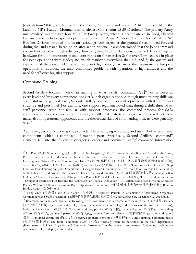Joint Action-2014C, which involved the Army, Air Force, and Second Artillery, was held in the Lanzhou MR's Kunlun Mountains in northwest China from 15-20 October.<sup>93</sup> The primary Army unit involved was the Lanzhou MR's 21<sup>st</sup> Group Army, which is headquartered in Baoji, Shaanxi Province, and included special operations forces and Army Aviation. The Lanzhou MRAF's 36<sup>th</sup> Bomber Division dropped bombs on various ground targets as the ground forces moved forward during the land assault. Based on an after-action critique, it was determined that the joint command system functioned with high efficiency; however, three key shortfalls were identified: 1) a shortage of hardware for joint operations placed constraints on the exercise; 2) the overall procedures in place for joint operations were inadequate, which restricted everything they did; and 3) the quality and capability of the personnel involved were not high enough to meet the requirements for joint operations. In addition, the units confronted problems with operations at high altitudes and the need for effective logistics support.

#### Command Training

 $\overline{a}$ 

Second Artillery focuses much of its training on what it calls "command" (指挥) of its forces at every level and by every component, not just launch organizations. Although most training drills are successful in the general sense, Second Artillery consistently identifies problems with its command structure and personnel. For example, one support regiment noted that, during a drill, three of its staff personnel were not familiar with support processes, the command process for *fendui* contingency responses was not appropriate, a battlefield materials storage facility lacked pertinent materials for operational opponents, and the theoretical skills of commanding officers were generally weak.<sup>94</sup>

As a result, Second Artillery spends considerable time trying to educate and train all of its command components, which is composed of multiple parts. Specifically, Second Artillery "command" elements fall into the following categories: leaders and command staff;<sup>95</sup> command information

<sup>&</sup>lt;sup>93</sup> Liu Peng (刘鹏),Wang Guangli (王广利), and Du Hongxing (杜红星), "Stretching the Bow and Sword in the Snow; Pitched Battle in Kunlun Mountain – On-Scene Account of a Certain Red Army Division of the 21st Group Army Carrying out Mission Theme Training on Plateau" (第 21 集团军某红军师开展高原使命课题训练现场见闻), September 17, 2014, p. 1. Mo Fuchun (莫福春) and Sun Libo (孙利波), "How Many Thresholds One Has Yet to Step Over for Joint Training and Joint Operations – Thoughts From Observing the Live Force Joint Exercise Carried Out by Multiple Services and Arms of the Lanzhou Theater in a Frigid Highland Area" (联训,还需迈过多块), Jiefangjun Bao Online in Chinese, November 25, 2014, p. 5. Liu Peng (刘鹏) and Du Hongxing (杜红星), "Use of Real Ammunition Throughout Exercises Has Become the 'Calibrator' of Tactical Innovation – A Certain Red Force Division Conducts Plateau Weapons Efficacy Testing to Boost Operational Precision" (全程实弹推演成为创新战法[校正器]), Renmin Jundui, August 12, 2014, p. 2.

 $94$  Wang Zhiyi (王志毅) and Yue Xiaolin (岳小琳), "Regiment Persists in Orientation of Problems, Organizes Commanders and Staff Evaluation" (某团坚持问题导向组织首长机关考核), *Huojianbing Bao*, December 12, 2014, p. 2.

<sup>&</sup>lt;sup>95</sup> References to the leaders include the following terms: commander which sometimes includes the PC (指挥员), leaders (首长/领导/主官) (e.g., commander, PC, deputy commanders, deputy PCs, and directors of the four departments), leaders and command staff (首长机关), command duty position (指挥岗位), command group (指挥班), commanding officers (指挥军官), command personnel (指挥人员), command support elements (指挥保障单元), command team ( 指挥组), political commissar (政治委员), reserve command elements (预备指挥单元), and rotational command duties (指 挥 轮 流 制 度 ). The term "command staff" ( 机 关 ) normally refers to personnel in the four departments (Headquarters, Political, Logistics, and Equipment/Armament) in the relevant headquarters. It does not include the commander, PC, or deputy commanders.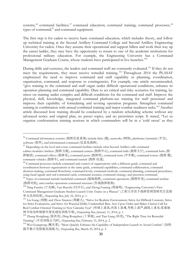systems;<sup>96</sup> command facilities;<sup>97</sup> command education; command training; command processes;<sup>98</sup> types of command;<sup>99</sup> and command equipment.

The first step is for cadets to receive basic command education, which includes theory, and follow up technical training at the Second Artillery Command College and Second Artillery Engineering University for cadets. Once they assume their operational and support billets and work their way up the career ladder, they may have the opportunity to return to one of the academic institutions for professional military education. For example, the Engineering University has a Command Management Graduate Course, whose students have participated in live launches.<sup>100</sup>

During drills and exercises, the leaders and command staff are constantly evaluated.<sup>101</sup> If they do not meet the requirements, they must receive remedial training. <sup>102</sup> Throughout 2014 the PLASAF emphasized the need to improve command and staff capability or planning, coordination, organization, command, and response to contingencies. For example, one article recommended, "give training to the command and staff organ under difficult operational conditions, enhance its operation planning and command capability. Dare to set critical and risky scenarios for training, lay stress on training under complex and difficult conditions for the command and staff. Improve the physical, skill, knowledge, integrated command platform-use training for staff personnel and improve their capability of formulating and revising operation programs. Strengthen command training in combination with annual combined training and major combat readiness tasks.<sup>103</sup> Another article discussed how training should be conducted by a random scheduling scheme without any advanced notice and original plan, no preset topics, and no prewritten script. It stated, "Let us organize confrontation training sessions in which commanders will be in a 'cold sweat' as they

 $^{96}$  Command information systems (指挥信息系统) include links (链), networks (网络), platforms/terminals (平台), software (软件), and informatized command (信息化指挥).

 $97$  Depending on the level and event, command facilities include what Second Artillery calls command

cabins/modules/shelters (指挥方舱), command centers (指挥中心), command halls (指挥大厅), command hubs (指 挥枢纽), command offices (指挥室), command posts (指挥所), command tents (中军帐), command towers (指挥 楼), command vehicles (指挥车), and command tunnels (指挥 坑道).

<sup>&</sup>lt;sup>98</sup> Command processes include command and control of organizations with a different grade, command and coordination between organizations at the same grade, command capabilities, command collaboration, command decision-making, command flowcharts, command levels, command methods, command planning, command procedures, using hand signals and oral command cards, command scenario, command strategy, and precision command.

<sup>&</sup>lt;sup>99</sup> Types of command include battlefield command (战场指挥), command operations (指挥作业), command warfare (指挥对抗), and combat operations command structure (作战指挥机构).

<sup>&</sup>lt;sup>100</sup> Ning Fanshu (宁凡树), Yan Shaoshi (闫少石), and Zhong Fuming (周福明), "Engineering University's First Command Management Graduate Student Launch Units Trains on a Plateau" (工程大学首个指挥管理型研究生发射 单元亮剑高原), *Huojianbing Bao*, July 22, 2014, p. 1.

<sup>101</sup> Liu Gang (刘刚) and Zhou Xianren (周献人), "Strive for Realistic Environment, Strive for Difficult Contents, Strive for Strict Evaluations, and Strive for Practical Drills; Unidentified Base Acts Upon Order and Makes Clarion Call for Real Combat Oriented Training in New Calendar Year" (环球上求真,内容上求难,考核上求严,演练上求实:某基地 闻令而动吹响新年度实战化训练号角), *Huojianbing Bao*, January 11, 2014, p. 1.

<sup>&</sup>lt;sup>102</sup> Zhang Hongliang (张洪亮), Ding Rongzhen (丁荣桢), and Tian Liang (田亮), "The Right Time for Remedial Training" (不差训练正当时), *Huojianbing Bao*, February 15, 2014, p. 2.

<sup>&</sup>lt;sup>103</sup> Wei Guangrong (魏光荣), "More Quickly Enhance the Capability of Independent Launch in Actual Combat" (加快 提升独立发射能实战能力), *Huojianbing Bao*, March 25, 2014, p. 3.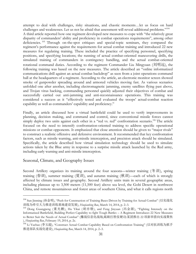attempt to deal with challenges, risky situations, and chaotic moments…let us focus on hard challenges and weaknesses. Let us not be afraid that assessment will reveal additional problems."<sup>104</sup> A third article reported how one regiment developed new measures to cope with "the relatively great disparity of commanders' ability and proficiency in combat operations requirements", among other deficiencies. <sup>105</sup> Through on-the-spot critiques and special-topic seminars, they compared the regiment's performance against the requirements for actual combat training and introduced 22 new measures for regulating training. These included the practice of specifying personnel, specifying positions, and specifying locations; the running of actual combat-oriented maneuvering drills, the simulated training of commanders in contingency handling, and the actual combat-oriented rotational command duties. According to the regiment Commander Liu Mingyuan (刘明远), the following training was based on the new measures. The article described an "online informatized communications drill against an actual combat backdrop" as seen from a joint operations command hall at the headquarters of a regiment. According to the article, an electronic monitor screen showed smoke of gunpowder spreading around and armored vehicles moving fast. As various scenarios unfolded one after another, including electromagnetic jamming, enemy satellites flying past above, and Trojan virus hacking, commanding personnel quickly adjusted their objectives of combat and successfully carried out anti-jamming and anti-reconnaissance operations. This training was considered a success as it "effectively tested and evaluated the troops' actual-combat reaction capability as well as commanders' capability and proficiency."

Finally, an article discussed how a virtual battlefield could be used to verify improvements in planning, decision making, and command and control, since conventional missile forces cannot simply deploy two units against each other in a "red vs. red" confrontation scenario.<sup>106</sup> The article focused on the need to intensify confrontation-oriented training to address specific operational missions or combat opponents. It emphasized that close attention should be given to "major rivals" to construct a realistic offensive and defensive environment. It recommended that key confrontation factors, such as missile warning, anti-missile interception, and precision attack should be simulated. Specifically, the article described how virtual simulation technology should be used to simulate actions taken by the Blue army in response to a surprise missile attack launched by the Red army, including early warning and anti-missile interception.

#### Seasonal, Climate, and Geography Issues

 $\overline{a}$ 

Second Artillery organizes its training around the four seasons—winter training (冬训), spring training (春训), summer training (夏训), and autumn training (秋训)—each of which is strongly affected by climate issues and geography. Second Artillery units train in several geographic areas, including plateaus up to 3,500 meters (11,500 feet) above sea level, the Gobi Desert in northwest China, and remote mountainous and forest areas of southern China, and what it calls regions north

<sup>104</sup> Sun Jinming (孙金明), "Push for Construction of Training Bases Driven by Training for Actual Combat" (以实战化 训练为牵引大力推进训练基地建设发展), *Huojianbing Bao*, March 14, 2014, p. 2–3.

<sup>&</sup>lt;sup>105</sup> Dong Guangpeng (董光鹏), Hu Yikai (胡亦锴), and Feng Jinyuan (冯金源), "Fighting Intensely on the Informatized Battlefield, Building Perfect Capability to fight Tough Battles – A Regiment Introduces 22 New Measures to Better Suit the Needs of Actual Combat" (鏖战信息化战场,砥砺打胜仗硬功:某团推出 22 项新举措向实战聚焦 ), *Huojianbing Bao*, February 19, 2014, p. 2c.

<sup>&</sup>lt;sup>106</sup> Li Yuchao (李玉超), "Construct Actual Combat Capability Based on Confrontation Training" (以对抗训练为抓手 推进部队实战化建设), *Huojianbing Bao*, March 14, 2014, p. 2–3.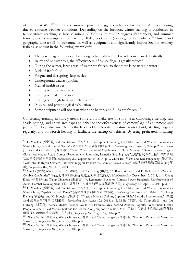of the Great Wall.<sup>107</sup> Winter and summer pose the biggest challenges for Second Artillery training due to extreme weather conditions. Depending on the location, winter training is conducted in temperatures reaching as low as minus 30 Celsius (minus 22 degrees Fahrenheit), and summer training occurs in temperatures reaching 50 degrees Celsius (122 degrees Fahrenheit).<sup>108</sup> Climate and geography take a toll on personnel as well as equipment and significantly impact Second Artillery training as shown in the following examples:<sup>109</sup>

- The percentage of personnel reacting to high altitude sickness has increased drastically
- In icy and snowy areas, the effectiveness of camouflage is greatly reduced
- During the winter, large areas of water are frozen, so that there is no useable water
- Lack of fresh food
- Fatigue and disrupting sleep cycles
- Underground claustrophobia
- Mental health issues

 $\overline{a}$ 

- Dealing with blowing sand
- Dealing with skin diseases
- Dealing with high heat and dehydration
- Physical and psychological exhaustion
- Some equipment will not start when the battery and fluids are frozen.<sup>110</sup>

Concerning training in snowy areas, some units make use of snow area camouflage netting, sun shade netting, and snow area capes to enhance the effectiveness of camouflage of equipment and people. <sup>111</sup> They also use the methods of adding low-temperature starter fluid, starting engines regularly, and blowtorch heating to facilitate the startup of vehicles. By using preheaters, installing

<sup>107</sup> Li Minzhen (李民振) and Yu Xihong (于夕红), "Encampment Training On Plateau in Cold Weather Guarantees War-Fighting Capability at All Times" (高原塞区驻训确保随时能战), *Huojianbing Bao*, January 1, 2014, p. 2. Ren Yuan (任原) and Cao Wenxi (曹文希), "Train 'Three Precision' Capabilities to "Five Measures" Standards—A Brigade Closely Adheres to Actual-Combat Requirements, Launching Remedial Training" (用"五度"标尺 练"三精": 谋旅紧贴 实战需要开展补差训练), *Huojianbing Bao*, September 24, 2014, p. 2. Zhou Bo (周波) and Ren Fangzheng (任方正), "With Mobile Repair Services, Battlefield Support Follows the Combat Forces Closely" (流动修理,战场保障如 jing 随 形), *Huojianbing Bao*, March 15, 2014, p. 2.

<sup>108</sup> Cao Li (曹力),Wang Hongxu (王洪续), and Tian Liang (田亮), "A Base's Winter Field Drills Forge All-Weather Combat Capabilities" (某基地冬季训练演练锻造全天候作战能力), *Huojianbing Bao*, December 17, 2014, p 1. Zhang Dudu (张督都) and Wang Qingyong (王清勇), "A Regiment's Focus on Combat Power Standards, Reinforcement of Actual-Combat Development" (某团聚焦战斗力标准加强实战化建设纪事), *Huojianbing Bao*, April 12, 2014, p. 2.

 $109$  Li Minzhen (李民振) and Yu Xihong (于夕红), "Encampment Training On Plateau in Cold Weather Guarantees War-Fighting Capability at All Times" (高原塞区驻训确保随时能战), *Huojianbing Bao*, January 1, 2014, p. 2. Huang Depeng (黄德鹏) and Xu Hongjun (徐洪均), "Brigade Bivouac Training Support 'Halts' Periodic Procurements" (某旅 业外驻训保障'叫停'定期采购), *Huojianbing Bao*, August 22, 2014, p. 2. Li Jie (李杰), Hu Yong (胡勇), and Liu Guiyang (刘贵阳), "Crack Medical Troops Go to the Exercise Area: Second Artillery Logistics Department Details People to Create Field Medical Stations for Follow-Along Support to Major Drill" (卫勤尖兵挺进演兵场:二炮勤部抽 组野战户随保障重大演训任务纪实), *Huojianbing Bao*, August 19, 2014, p. 2.

<sup>110</sup> Zhang Yanhe (张延合), Wang Chunyu (王春雨), and Zhang Jiangang (张建刚), "Weapons Dance and Make the Snow Fly", *Huojianbing Bao*, January 7, 2014, p. 4.

<sup>111</sup> Zhang Yanhe (张延合), Wang Chunyu (王春雨), and Zhang Jiangang (张建刚), "Weapons Dance and Make the Snow Fly", *Huojianbing Bao*, January 7, 2014, p. 4.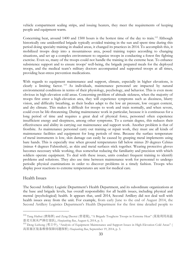vehicle compartment sealing strips, and issuing heaters, they meet the requirements of keeping people and equipment warm.

Concerning heat, around 1400 and 1500 hours is the hottest time of the day to train.<sup>112</sup> Although historically one unidentified brigade typically avoided training in the sun and spent time during this period doing specialty training in shaded areas, it changed its practices in 2014. To accomplish this, it mobilized troops deep into a mountainous area, posed training topics according to changing situations, and set up a complex environment to organize troops in conducting a forest fire fighting exercise. Even so, many of the troops could not handle the training in the extreme heat. To enhance subsistence support and to ensure troops' well-being, the brigade prepared meals for the deployed troops, and the medical team's military doctors accompanied and supported troops at all times, providing heat-stress prevention medications.

With regards to equipment maintenance and support, climate, especially in higher elevations, is clearly a limiting factor. <sup>113</sup> As individuals, maintenance personnel are impacted by natural environmental conditions in terms of their physiology, psychology, and behavior. This is even more obvious in high-elevation cold areas. Concerning problem of altitude sickness, when the majority of troops first enter a high-elevation area, they will experience symptoms such as dizziness, blurry vision, and difficulty breathing, as their bodies adapt to the low air pressure, low oxygen content, and dry climate. This makes it difficult for troops to work and train normally, and when severe, could even be life-threatening. During maintenance work in particular, because it is continuous for a long period of time and requires a great deal of physical force, personnel often experience insufficient energy and sleepiness, among other symptoms. To a certain degree, this reduces their effectiveness and ability in carrying out maintenance and support work. Another problem is that of frostbite. As maintenance personnel carry out training or repair work, they must use all kinds of maintenance facilities and equipment for long periods of time. Because the surface temperature of metal instruments is low, skin damage can easily be caused by grasping metal implements using bare hands. This is especially true when ground temperatures fall below minus 20 degrees Celsius (minus 4 degrees Fahrenheit), as skin and metal surfaces stick together. Wearing protective gloves becomes necessary while working, thus somewhat reducing the familiarity and precision with which soldiers operate equipment. To deal with these issues, units conduct frequent training to identify problems and solutions. They also use time between maintenance work for personnel to undergo periodic physical examinations in order to discover problems in a timely fashion. Troops who display poor reactions to extreme temperatures are sent for medical care.

#### Health Issues

 $\overline{a}$ 

The Second Artillery Logistic Department's Health Department, and its subordinate organizations at the base and brigade levels, has overall responsibility for all health issues, including physical and mental (psychological) health. It appears that, until 2014, Second Artillery did not deal well with health issues away from the unit. For example, from early June to the end of August 2014, the Second Artillery Logistics Department's Health Department for the first time detailed people to

<sup>112</sup> Tang Haihui (唐海挥) and Zeng Daorui (曾道锐), "A Brigade Toughens Troops in Extreme Heat" (某旅利用高温 恶劣天候从严摔打部队), *Huojianbing Bao*, August 6, 2014, p. 3.

<sup>113</sup> Deng Lizhong (邓立中), "Analysis of Equipment Maintenance and Support Issues in High-Elevation Cold Areas" ( 高原塞区装备维修保障问题探析) *Huojianbing Bao*, September 19, 2014, p. 3.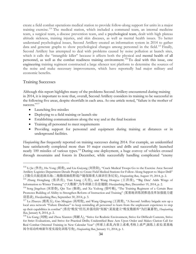create a field combat operations medical station to provide follow-along support for units in a major training exercise.<sup>114</sup> The medical station, which included a command team, an internal medicine team, a surgical team, a disease prevention team, and a psychological team, dealt with high plateau altitude sickness, training injuries, and skin diseases, as well as mental health issues. To better understand psychological issues, Second Artillery created an information system in 2014 to gather data and generate graphs to show psychological changes among personnel in the field.<sup>115</sup> Finally, Second Artillery has attempted to deal with problems caused by noise pollution at launch sites, which it calls the "intangible killer" because it affects both the physical and mental health of all personnel, as well as the combat readiness training environment. <sup>116</sup> To deal with this issue, one engineering training regiment constructed a large silencer test platform to determine the sources of the noise and make necessary improvements, which have reportedly had major military and economic benefits.

#### Training Successes

 $\overline{a}$ 

Although this report highlights many of the problems Second Artillery encountered during training in 2014, it is important to note that, overall, Second Artillery considers its training to be successful in the following five areas, despite shortfalls in each area. As one article noted, "failure is the mother of success."<sup>117</sup>

- Launching live missiles
- Deploying to a field training or launch site
- Establishing communications along the way and at the final location
- Training all personnel to meet requirements
- Providing support for personnel and equipment during training at distances or in underground facilities.

*Huojianbing Bao* frequently reported on training successes during 2014. For example, an unidentified base satisfactorily completed more than 10 major exercises and drills and successfully launched nearly 100 missiles of various types.<sup>118</sup> During one deployment, a huge convoy of vehicles crossed through mountains and forests in December, while successfully handling complicated "enemy

<sup>114</sup> Li Jie (李杰), Hu Yong (胡勇), and Liu Guiyang (刘贵阳), "Crack Medical Troops Go to the Exercise Area: Second Artillery Logistics Department Details People to Create Field Medical Stations for Follow-Along Support to Major Drill" (卫勤尖兵挺进演兵场:二炮勤部抽组野战户随保障重大演训任务纪实), *Huojianbing Bao*, August 19, 2014, p. 2.

<sup>115</sup> Zhang Hongliang (张洪亮), Tian Liang (天亮), and Wang Hongxu (王洪续), "'Big Data' Adds Wings of Information to Winter Training" ("大数据",为冬训插上信息翅膀) Huojianbing Bao, December 19, 2014, p. 2.

<sup>116</sup> Song Jingchun (宋景春), Qin Tao (秦涛), and Xu Yedong (徐叶栋), "The Training Regiment of a Certain Base Promotes Building of Ability to Strengthen Reform of Instruction and Training" (某基地训练团推进改革加强能力建 设思录), Huojianbing Bao, September 30, 2014, p. 3.

<sup>&</sup>lt;sup>117</sup> Lu Zhaoyu (鹿兆玉), Gao Mingjun (高明俊), and Wang Qingyong (王清勇), "A Second Artillery brigade sets up a local area network "Failure Database" to keep reminding all personnel to learn from the unpleasant experience to step up their capabilities in combat" (勇亮"败仗"经历,补强攻防"短板":某旅建立"败仗数据库"为打赢蓄智), *Huojianbing Bao*, January 8, 2014, p. 2.

<sup>118</sup> Liu Gang (刘刚) and Zhou Xianren (周献人), "Strive for Realistic Environment, Strive for Difficult Contents, Strive for Strict Evaluations, and Strive for Practical Drills; Unidentified Base Acts Upon Order and Makes Clarion Call for Real Combat Oriented Training in New Calendar Year" (环球上求真,内容上求难,考核上求严,演练上求实:某基地 闻令而动吹响新年度实战化训练号角), *Huojianbing Bao*, January 11, 2014, p. 1.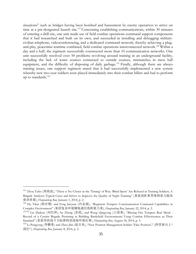situations" such as bridges having been bombed and harassment by enemy operatives to arrive on time at a pre-designated launch site.<sup>119</sup> Concerning establishing communications, within 30 minutes of entering a drill site, one unit made use of field combat operations command support components that it had researched and built on its own, and succeeded in installing and debugging militarycivilian telephone, videoconferencing, and a dedicated command network, thereby achieving a plugand-play, peacetime-wartime combined, field combat operations interconnected network.<sup>120</sup> Within a day and a half, the regiment successfully constructed more than 10 communication networks. One unit successfully resolved over 50 problems revolving around training in an underground facility, including the lack of water sources connected to outside sources, mismatches in mess hall equipment, and the difficulty of disposing of daily garbage.<sup>121</sup> Finally, although there are always training issues, one support regiment stated that it had successfully implemented a new system whereby new two-year soldiers were placed immediately into their combat billets and had to perform up to standards.<sup>122</sup>

<sup>119</sup> Zhou Yubo (周雨波), "There is No Choice in the 'Timing' of War; 'Blind Spots' Are Refused in Training Soldiers; A Brigade Analyzes Typical Cases and Strives to Improve the Quality of Night Training" (某旅剖析典型事例着力提高 夜训质量), *Huojianbing Bao*, January 1, 2014, p. 2.

<sup>120</sup> Hu Yikai (胡亦锴) and Feng Jinyuan (冯金源), "Regiment Tempers Communication Command Capabilities in Complex Environment" (某团复杂环境锤炼通信指挥能力来), *Huojianbing Bao*, January 22, 2014, p. 2.

<sup>&</sup>lt;sup>121121</sup> Liu Daikun (刘代坤), Su Zheng (苏政), and Wang Qingyong (王清勇), "Blazing Fire Tempers Real Metal -Record of a Certain Brigade Persisting in Building Battlefield Environments Using Combat Effectiveness as Their Standard" (某旅坚持战斗力标准构设战场环境纪事), *Huojianbing Bao*, August 30, 2014, p. 3.

<sup>122</sup> Li Pengyong (李鹏勇) and Zhao Jilei (赵吉垒), "New Position Management Solider 'Take Position'," (阵管新兵上" 战位"), *Huojianbing Bao*, January 8, 2014, p. 2.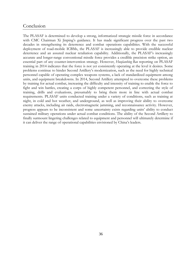# <span id="page-43-0"></span>Conclusion

The PLASAF is determined to develop a strong, informatized strategic missile force in accordance with CMC Chairman Xi Jinping's guidance. It has made significant progress over the past two decades in strengthening its deterrence and combat operations capabilities. With the successful deployment of road-mobile ICBMs, the PLASAF is increasingly able to provide credible nuclear deterrence and an assured nuclear retaliation capability. Additionally, the PLASAF's increasingly accurate and longer-range conventional missile force provides a credible precision strike option, an essential part of any counter-intervention strategy. However, *Huojianbing Bao* reporting on PLASAF training in 2014 indicates that the force is not yet consistently operating at the level it desires. Some problems continue to hinder Second Artillery's modernization, such as the need for highly technical personnel capable of operating complex weapons systems, a lack of standardized equipment among units, and equipment breakdowns. In 2014, Second Artillery attempted to overcome these problems by training for actual combat, increasing the difficulty and intensity of training to enable the force to fight and win battles, creating a corps of highly competent personnel, and correcting the style of training, drills and evaluations, presumably to bring them more in line with actual combat requirements. PLASAF units conducted training under a variety of conditions, such as training at night, in cold and hot weather, and underground, as well as improving their ability to overcome enemy attacks, including air raids, electromagnetic jamming, and reconnaissance activity. However, progress appears to be inconsistent and some uncertainty exists regarding units' ability to conduct sustained military operations under actual combat conditions. The ability of the Second Artillery to finally surmount lingering challenges related to equipment and personnel will ultimately determine if it can deliver the range of operational capabilities envisioned by China's leaders.